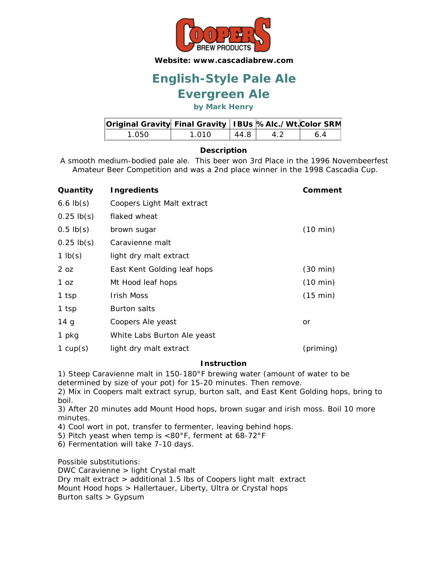

# **English-Style Pale Ale**

### **Evergreen Ale**

**by Mark Henry**

| Original Gravity Final Gravity   IBUs  %Alc./Wt. Color SRM |        |      |  |
|------------------------------------------------------------|--------|------|--|
| 1 Q50 I                                                    | 1 010. | 44.8 |  |

### **Description**

A smooth medium-bodied pale ale. This beer won 3rd Place in the 1996 Novembeerfest Amateur Beer Competition and was a 2nd place winner in the 1998 Cascadia Cup.

| Quantity        | <b>Ingredients</b>          | Comment            |
|-----------------|-----------------------------|--------------------|
| $6.6$ lb(s)     | Coopers Light Malt extract  |                    |
| $0.25$ lb(s)    | flaked wheat                |                    |
| $0.5$ lb $(s)$  | brown sugar                 | $(10 \text{ min})$ |
| $0.25$ lb(s)    | Caravienne malt             |                    |
| 1 $lb(s)$       | light dry malt extract      |                    |
| 2 oz            | East Kent Golding leaf hops | $(30 \text{ min})$ |
| 1 oz            | Mt Hood leaf hops           | $(10 \text{ min})$ |
| 1 tsp           | <b>Irish Moss</b>           | $(15 \text{ min})$ |
| 1 tsp           | <b>Burton salts</b>         |                    |
| 14 <sub>g</sub> | Coopers Ale yeast           | or                 |
| 1 pkg           | White Labs Burton Ale yeast |                    |
| 1 $cup(s)$      | light dry malt extract      | (priming)          |

### **Instruction**

1) Steep Caravienne malt in 150-180°F brewing water (amount of water to be determined by size of your pot) for 15-20 minutes. Then remove.

2) Mix in Coopers malt extract syrup, burton salt, and East Kent Golding hops, bring to boil.

3) After 20 minutes add Mount Hood hops, brown sugar and irish moss. Boil 10 more minutes.

4) Cool wort in pot, transfer to fermenter, leaving behind hops.

5) Pitch yeast when temp is <80°F, ferment at 68-72°F

6) Fermentation will take 7-10 days.

Possible substitutions:

DWC Caravienne > light Crystal malt Dry malt extract > additional 1.5 lbs of Coopers light malt extract Mount Hood hops > Hallertauer, Liberty, Ultra or Crystal hops Burton salts > Gypsum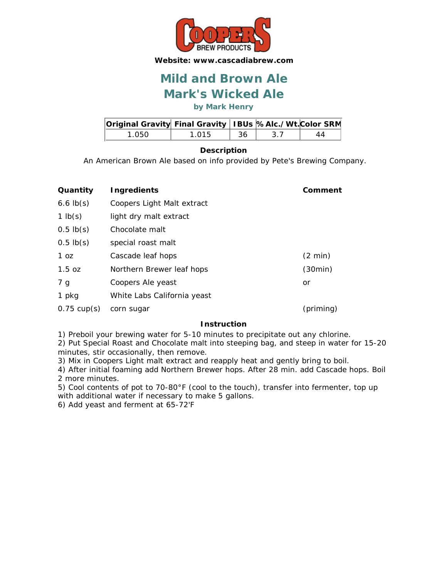

## **Mark's Wicked Ale Mild and Brown Ale**

**by Mark Henry**

| Original Gravity Final Gravity   IBUs  %Alc./Wt. Color SRM |       |    |    |
|------------------------------------------------------------|-------|----|----|
| 1.050.                                                     | 1.015 | 36 | 44 |

### **Description**

An American Brown Ale based on info provided by Pete's Brewing Company.

| Quantity              | <b>Ingredients</b>          | Comment           |
|-----------------------|-----------------------------|-------------------|
| $6.6$ $lb(s)$         | Coopers Light Malt extract  |                   |
| 1 $lb(s)$             | light dry malt extract      |                   |
| $0.5$ lb(s)           | Chocolate malt              |                   |
| $0.5$ lb $(s)$        | special roast malt          |                   |
| 1 <sub>oz</sub>       | Cascade leaf hops           | $(2 \text{ min})$ |
| $1.5$ oz              | Northern Brewer leaf hops   | (30min)           |
| 7 g                   | Coopers Ale yeast           | or                |
| 1 pkg                 | White Labs California yeast |                   |
| $0.75 \text{ cup(s)}$ | corn sugar                  | (priming)         |

### **Instruction**

1) Preboil your brewing water for 5-10 minutes to precipitate out any chlorine.

2) Put Special Roast and Chocolate malt into steeping bag, and steep in water for 15-20 minutes, stir occasionally, then remove.

3) Mix in Coopers Light malt extract and reapply heat and gently bring to boil.

4) After initial foaming add Northern Brewer hops. After 28 min. add Cascade hops. Boil 2 more minutes.

5) Cool contents of pot to 70-80°F (cool to the touch), transfer into fermenter, top up with additional water if necessary to make 5 gallons.

6) Add yeast and ferment at 65-72'F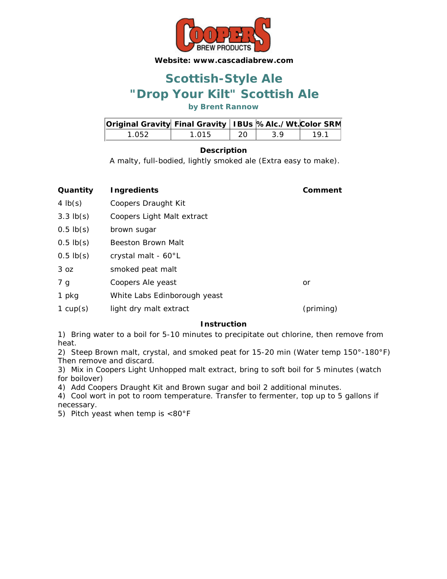

## **"Drop Your Kilt" Scottish Ale Scottish-Style Ale**

**by Brent Rannow**

| Original Gravity Final Gravity   IBUs %Alc./Wt.Color SRM |       |     |    |     |
|----------------------------------------------------------|-------|-----|----|-----|
| 1 052.                                                   | 1 015 | -20 | 39 | 191 |

### **Description**

A malty, full-bodied, lightly smoked ale (Extra easy to make).

| Quantity        | <b>Ingredients</b>           | Comment   |
|-----------------|------------------------------|-----------|
| 4 $lb(s)$       | Coopers Draught Kit          |           |
| $3.3$ lb(s)     | Coopers Light Malt extract   |           |
| $0.5$ lb $(s)$  | brown sugar                  |           |
| $0.5$ lb $(s)$  | Beeston Brown Malt           |           |
| $0.5$ lb(s)     | crystal malt - 60°L          |           |
| 3 <sub>oz</sub> | smoked peat malt             |           |
| 7 g             | Coopers Ale yeast            | or        |
| 1 pkg           | White Labs Edinborough yeast |           |
| 1 $cup(s)$      | light dry malt extract       | (priming) |

### **Instruction**

1) Bring water to a boil for 5-10 minutes to precipitate out chlorine, then remove from heat.

2) Steep Brown malt, crystal, and smoked peat for 15-20 min (Water temp 150°-180°F) Then remove and discard.

3) Mix in Coopers Light Unhopped malt extract, bring to soft boil for 5 minutes (watch for boilover)

4) Add Coopers Draught Kit and Brown sugar and boil 2 additional minutes.

4) Cool wort in pot to room temperature. Transfer to fermenter, top up to 5 gallons if necessary.

5) Pitch yeast when temp is <80°F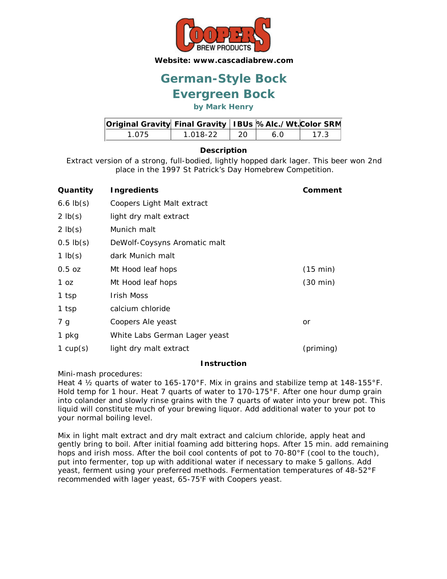

# **German-Style Bock**

### **Evergreen Bock**

### **by Mark Henry**

| Original Gravity Final Gravity   IBUs %Alc./Wt. Color SRM |          |                                                      |     |      |
|-----------------------------------------------------------|----------|------------------------------------------------------|-----|------|
| 1 075                                                     | 1.018-22 | $\begin{array}{cc} \text{1} & \text{20} \end{array}$ | 6 O | 17.3 |

### **Description**

Extract version of a strong, full-bodied, lightly hopped dark lager. This beer won 2nd place in the 1997 St Patrick's Day Homebrew Competition.

| Quantity           | <b>Ingredients</b>            | Comment            |
|--------------------|-------------------------------|--------------------|
| $6.6$ $lb(s)$      | Coopers Light Malt extract    |                    |
| 2 lb(s)            | light dry malt extract        |                    |
| $2 \mathsf{lb}(s)$ | Munich malt                   |                    |
| $0.5$ lb $(s)$     | DeWolf-Coysyns Aromatic malt  |                    |
| 1 $lb(s)$          | dark Munich malt              |                    |
| $0.5$ oz           | Mt Hood leaf hops             | (15 min)           |
| 1 oz               | Mt Hood leaf hops             | $(30 \text{ min})$ |
| 1 tsp              | <b>Irish Moss</b>             |                    |
| 1 tsp              | calcium chloride              |                    |
| 7 g                | Coopers Ale yeast             | or                 |
| 1 pkg              | White Labs German Lager yeast |                    |
| 1 $cup(s)$         | light dry malt extract        | (priming)          |

#### **Instruction**

Mini-mash procedures:

Heat 4 ½ quarts of water to 165-170°F. Mix in grains and stabilize temp at 148-155°F. Hold temp for 1 hour. Heat 7 quarts of water to 170-175°F. After one hour dump grain into colander and slowly rinse grains with the 7 quarts of water into your brew pot. This liquid will constitute much of your brewing liquor. Add additional water to your pot to your normal boiling level.

Mix in light malt extract and dry malt extract and calcium chloride, apply heat and gently bring to boil. After initial foaming add bittering hops. After 15 min. add remaining hops and irish moss. After the boil cool contents of pot to 70-80°F (cool to the touch), put into fermenter, top up with additional water if necessary to make 5 gallons. Add yeast, ferment using your preferred methods. Fermentation temperatures of 48-52°F recommended with lager yeast, 65-75'F with Coopers yeast.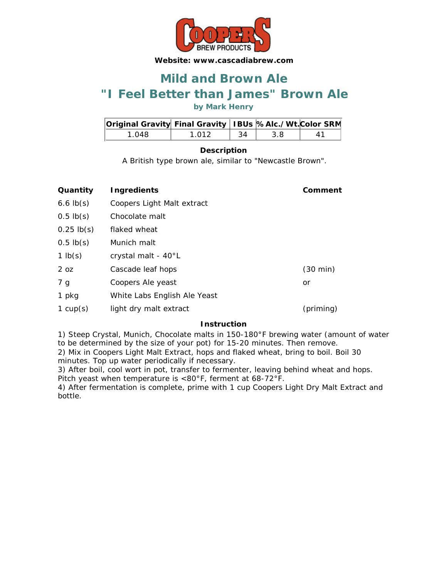

### **"I Feel Better than James" Brown Ale Mild and Brown Ale**

**by Mark Henry**

| Original Gravity Final Gravity   IBUs %Alc./Wt. Color SRM |       |     |     |    |
|-----------------------------------------------------------|-------|-----|-----|----|
| 1 048.                                                    | 1 012 | -34 | 3.8 | 41 |

### **Description**

A British type brown ale, similar to "Newcastle Brown".

| Quantity        | Ingredients                  | Comment            |
|-----------------|------------------------------|--------------------|
| $6.6$ $lb(s)$   | Coopers Light Malt extract   |                    |
| $0.5 \,$ lb(s)  | Chocolate malt               |                    |
| $0.25$ lb(s)    | flaked wheat                 |                    |
| $0.5 \,$ lb(s)  | Munich malt                  |                    |
| 1 $lb(s)$       | crystal malt - 40°L          |                    |
| 2 <sub>oz</sub> | Cascade leaf hops            | $(30 \text{ min})$ |
| 7 g             | Coopers Ale yeast            | or                 |
| 1 pkg           | White Labs English Ale Yeast |                    |
| 1 $cup(s)$      | light dry malt extract       | (priming)          |

### **Instruction**

1) Steep Crystal, Munich, Chocolate malts in 150-180°F brewing water (amount of water to be determined by the size of your pot) for 15-20 minutes. Then remove.

2) Mix in Coopers Light Malt Extract, hops and flaked wheat, bring to boil. Boil 30 minutes. Top up water periodically if necessary.

3) After boil, cool wort in pot, transfer to fermenter, leaving behind wheat and hops. Pitch yeast when temperature is <80°F, ferment at 68-72°F.

4) After fermentation is complete, prime with 1 cup Coopers Light Dry Malt Extract and bottle.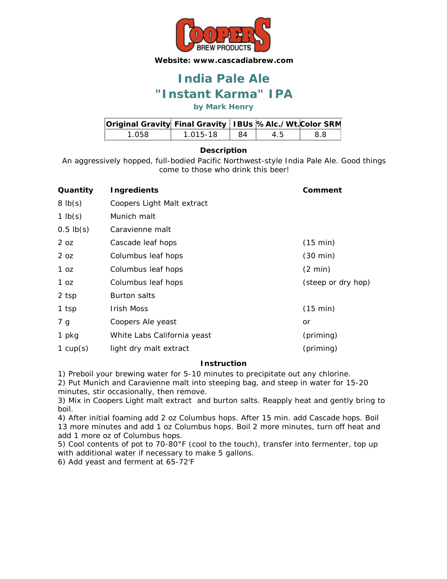

## **"Instant Karma" IPA India Pale Ale**

**by Mark Henry**

| Original Gravity Final Gravity   IBUs %Alc./Wt. Color SRM |          |    |    |     |
|-----------------------------------------------------------|----------|----|----|-----|
| 1.058                                                     | 1.015-18 | 84 | 45 | 8.8 |

### **Description**

An aggressively hopped, full-bodied Pacific Northwest-style India Pale Ale. Good things come to those who drink this beer!

| Quantity       | <b>Ingredients</b>          | Comment            |
|----------------|-----------------------------|--------------------|
| 8 lb(s)        | Coopers Light Malt extract  |                    |
| 1 $lb(s)$      | Munich malt                 |                    |
| $0.5$ lb $(s)$ | Caravienne malt             |                    |
| 2 oz           | Cascade leaf hops           | (15 min)           |
| 2 oz           | Columbus leaf hops          | $(30 \text{ min})$ |
| 1 oz           | Columbus leaf hops          | $(2 \text{ min})$  |
| 1 oz           | Columbus leaf hops          | (steep or dry hop) |
| 2 tsp          | <b>Burton salts</b>         |                    |
| 1 tsp          | Irish Moss                  | (15 min)           |
| 7 g            | Coopers Ale yeast           | or                 |
| 1 pkg          | White Labs California yeast | (priming)          |
| 1 $cup(s)$     | light dry malt extract      | (priming)          |

### **Instruction**

1) Preboil your brewing water for 5-10 minutes to precipitate out any chlorine.

2) Put Munich and Caravienne malt into steeping bag, and steep in water for 15-20 minutes, stir occasionally, then remove.

3) Mix in Coopers Light malt extract and burton salts. Reapply heat and gently bring to boil.

4) After initial foaming add 2 oz Columbus hops. After 15 min. add Cascade hops. Boil 13 more minutes and add 1 oz Columbus hops. Boil 2 more minutes, turn off heat and add 1 more oz of Columbus hops.

5) Cool contents of pot to 70-80°F (cool to the touch), transfer into fermenter, top up with additional water if necessary to make 5 gallons.

6) Add yeast and ferment at 65-72'F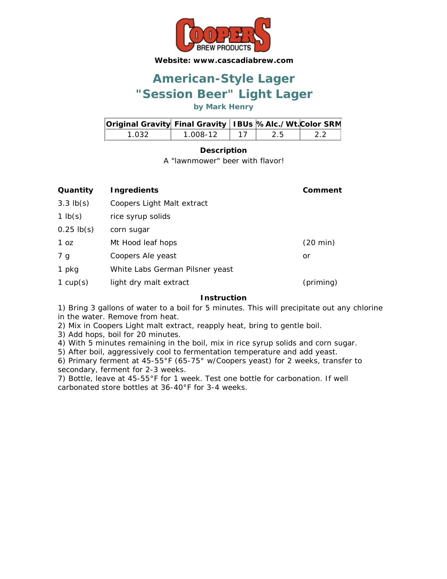

## **"Session Beer" Light Lager American-Style Lager**

**by Mark Henry**

| <b>Original Gravity Final Gravity   IBUs %Alc./Wt. Color SRM</b> |          |      |  |
|------------------------------------------------------------------|----------|------|--|
| 1 032.                                                           | 1 008-12 | -2.5 |  |

### **Description**

A "lawnmower" beer with flavor!

| Quantity     | <b>Ingredients</b>              | Comment   |
|--------------|---------------------------------|-----------|
| $3.3$ lb(s)  | Coopers Light Malt extract      |           |
| 1 $lb(s)$    | rice syrup solids               |           |
| $0.25$ lb(s) | corn sugar                      |           |
| 1 oz         | Mt Hood leaf hops               | (20 min)  |
| 7 g          | Coopers Ale yeast               | or        |
| 1 pkg        | White Labs German Pilsner yeast |           |
| 1 $cup(s)$   | light dry malt extract          | (priming) |

### **Instruction**

1) Bring 3 gallons of water to a boil for 5 minutes. This will precipitate out any chlorine in the water. Remove from heat.

2) Mix in Coopers Light malt extract, reapply heat, bring to gentle boil.

3) Add hops, boil for 20 minutes.

4) With 5 minutes remaining in the boil, mix in rice syrup solids and corn sugar.

5) After boil, aggressively cool to fermentation temperature and add yeast.

6) Primary ferment at 45-55°F (65-75° w/Coopers yeast) for 2 weeks, transfer to secondary, ferment for 2-3 weeks.

7) Bottle, leave at 45-55°F for 1 week. Test one bottle for carbonation. If well carbonated store bottles at 36-40°F for 3-4 weeks.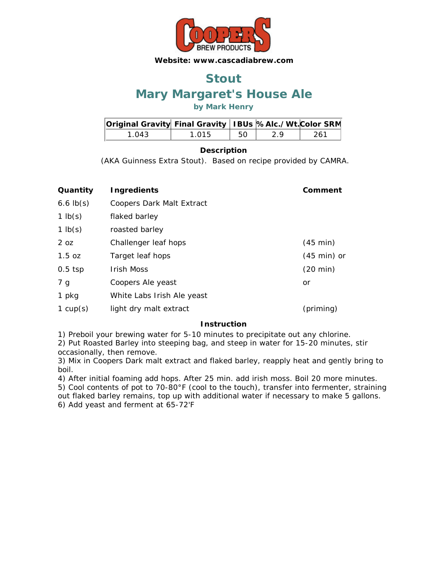

### **Mary Margaret's House Ale Stout**

### **by Mark Henry**

| Original Gravity Final Gravity   IBUs %Alc./Wt. Color SRM |       |    |    |      |
|-----------------------------------------------------------|-------|----|----|------|
| 1 ()43                                                    | 1 015 | 50 | 29 | -261 |

### **Description**

(AKA Guinness Extra Stout). Based on recipe provided by CAMRA.

| <b>Ingredients</b>               | Comment               |
|----------------------------------|-----------------------|
| <b>Coopers Dark Malt Extract</b> |                       |
| flaked barley                    |                       |
| roasted barley                   |                       |
| Challenger leaf hops             | $(45 \text{ min})$    |
| Target leaf hops                 | $(45 \text{ min})$ or |
| <b>Irish Moss</b>                | $(20 \text{ min})$    |
| Coopers Ale yeast                | or                    |
| White Labs Irish Ale yeast       |                       |
| light dry malt extract           | (priming)             |
|                                  |                       |

### **Instruction**

1) Preboil your brewing water for 5-10 minutes to precipitate out any chlorine.

2) Put Roasted Barley into steeping bag, and steep in water for 15-20 minutes, stir occasionally, then remove.

3) Mix in Coopers Dark malt extract and flaked barley, reapply heat and gently bring to boil.

4) After initial foaming add hops. After 25 min. add irish moss. Boil 20 more minutes. 5) Cool contents of pot to 70-80°F (cool to the touch), transfer into fermenter, straining out flaked barley remains, top up with additional water if necessary to make 5 gallons. 6) Add yeast and ferment at 65-72'F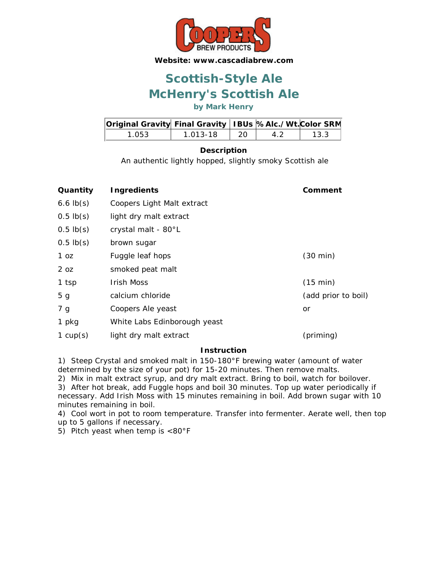

## **McHenry's Scottish Ale Scottish-Style Ale**

**by Mark Henry**

| Original Gravity  Final Gravity   IBUs  %Alc./Wt. Color SRM |          |      |    |      |
|-------------------------------------------------------------|----------|------|----|------|
| 1.053                                                       | 1.013-18 | - 20 | 42 | 13.3 |

### **Description**

An authentic lightly hopped, slightly smoky Scottish ale

| Quantity        | <b>Ingredients</b>           | Comment             |
|-----------------|------------------------------|---------------------|
| $6.6$ $lb(s)$   | Coopers Light Malt extract   |                     |
| $0.5$ lb(s)     | light dry malt extract       |                     |
| $0.5$ lb $(s)$  | crystal malt - 80°L          |                     |
| $0.5$ lb $(s)$  | brown sugar                  |                     |
| 1 <sub>oz</sub> | Fuggle leaf hops             | $(30 \text{ min})$  |
| 2 <sub>oz</sub> | smoked peat malt             |                     |
| 1 tsp           | Irish Moss                   | (15 min)            |
| 5 <sub>g</sub>  | calcium chloride             | (add prior to boil) |
| 7 g             | Coopers Ale yeast            | or                  |
| 1 pkg           | White Labs Edinborough yeast |                     |
| 1 $cup(s)$      | light dry malt extract       | (priming)           |
|                 |                              |                     |

### **Instruction**

1) Steep Crystal and smoked malt in 150-180°F brewing water (amount of water determined by the size of your pot) for 15-20 minutes. Then remove malts.

2) Mix in malt extract syrup, and dry malt extract. Bring to boil, watch for boilover. 3) After hot break, add Fuggle hops and boil 30 minutes. Top up water periodically if necessary. Add Irish Moss with 15 minutes remaining in boil. Add brown sugar with 10 minutes remaining in boil.

4) Cool wort in pot to room temperature. Transfer into fermenter. Aerate well, then top up to 5 gallons if necessary.

5) Pitch yeast when temp is <80°F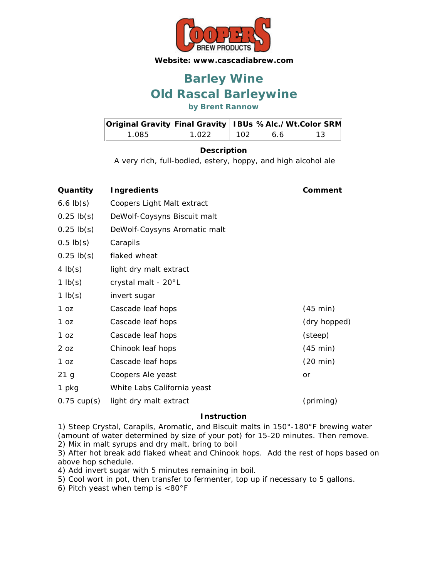

## **Old Rascal Barleywine Barley Wine**

**by Brent Rannow**

| Original Gravity Final Gravity   IBUs %Alc./Wt. Color SRM |       |     |    |  |
|-----------------------------------------------------------|-------|-----|----|--|
| 1.085                                                     | 1 022 | 102 | 66 |  |

### **Description**

A very rich, full-bodied, estery, hoppy, and high alcohol ale

| Quantity              | <b>Ingredients</b>           | Comment            |
|-----------------------|------------------------------|--------------------|
| 6.6 $lb(s)$           | Coopers Light Malt extract   |                    |
| $0.25$ lb(s)          | DeWolf-Coysyns Biscuit malt  |                    |
| $0.25$ lb(s)          | DeWolf-Coysyns Aromatic malt |                    |
| $0.5$ lb(s)           | Carapils                     |                    |
| $0.25$ lb(s)          | flaked wheat                 |                    |
| 4 $lb(s)$             | light dry malt extract       |                    |
| 1 $lb(s)$             | crystal malt - 20°L          |                    |
| 1 $lb(s)$             | invert sugar                 |                    |
| 1 oz                  | Cascade leaf hops            | $(45 \text{ min})$ |
| 1 oz                  | Cascade leaf hops            | (dry hopped)       |
| 1 oz                  | Cascade leaf hops            | (steep)            |
| 2 oz                  | Chinook leaf hops            | $(45 \text{ min})$ |
| 1 oz                  | Cascade leaf hops            | $(20 \text{ min})$ |
| 21 <sub>g</sub>       | Coopers Ale yeast            | <b>or</b>          |
| 1 pkg                 | White Labs California yeast  |                    |
| $0.75 \text{ cup(s)}$ | light dry malt extract       | (priming)          |
|                       |                              |                    |

### **Instruction**

1) Steep Crystal, Carapils, Aromatic, and Biscuit malts in 150°-180°F brewing water (amount of water determined by size of your pot) for 15-20 minutes. Then remove. 2) Mix in malt syrups and dry malt, bring to boil

3) After hot break add flaked wheat and Chinook hops. Add the rest of hops based on above hop schedule.

4) Add invert sugar with 5 minutes remaining in boil.

5) Cool wort in pot, then transfer to fermenter, top up if necessary to 5 gallons.

6) Pitch yeast when temp is <80°F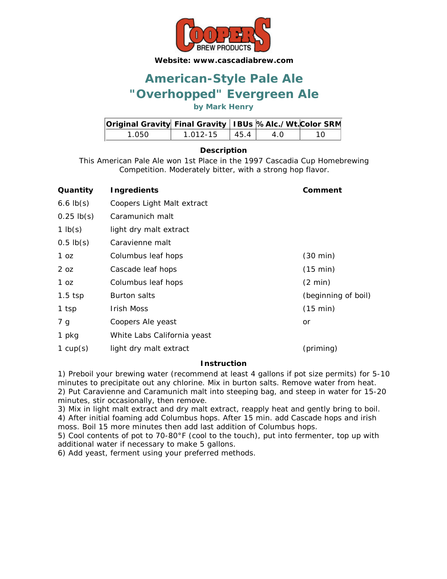

## **"Overhopped" Evergreen Ale American-Style Pale Ale**

### **by Mark Henry**

| Original Gravity Final Gravity   IBUs %Alc./Wt. Color SRM |                          |     |  |
|-----------------------------------------------------------|--------------------------|-----|--|
| 1 O.50.                                                   | $1.012 - 15$ $\mid$ 45.4 | 4 O |  |

### **Description**

This American Pale Ale won 1st Place in the 1997 Cascadia Cup Homebrewing Competition. Moderately bitter, with a strong hop flavor.

| Quantity        | Ingredients                 | Comment             |
|-----------------|-----------------------------|---------------------|
| $6.6$ lb(s)     | Coopers Light Malt extract  |                     |
| $0.25$ lb(s)    | Caramunich malt             |                     |
| 1 $lb(s)$       | light dry malt extract      |                     |
| $0.5$ lb(s)     | Caravienne malt             |                     |
| 1 oz            | Columbus leaf hops          | $(30 \text{ min})$  |
| 2 <sub>oz</sub> | Cascade leaf hops           | (15 min)            |
| 1 oz            | Columbus leaf hops          | $(2 \text{ min})$   |
| $1.5$ tsp       | <b>Burton salts</b>         | (beginning of boil) |
| 1 tsp           | Irish Moss                  | (15 min)            |
| 7 g             | Coopers Ale yeast           | or                  |
| 1 pkg           | White Labs California yeast |                     |
| 1 $cup(s)$      | light dry malt extract      | (priming)           |

### **Instruction**

1) Preboil your brewing water (recommend at least 4 gallons if pot size permits) for 5-10 minutes to precipitate out any chlorine. Mix in burton salts. Remove water from heat. 2) Put Caravienne and Caramunich malt into steeping bag, and steep in water for 15-20 minutes, stir occasionally, then remove.

3) Mix in light malt extract and dry malt extract, reapply heat and gently bring to boil. 4) After initial foaming add Columbus hops. After 15 min. add Cascade hops and irish moss. Boil 15 more minutes then add last addition of Columbus hops.

5) Cool contents of pot to 70-80°F (cool to the touch), put into fermenter, top up with additional water if necessary to make 5 gallons.

6) Add yeast, ferment using your preferred methods.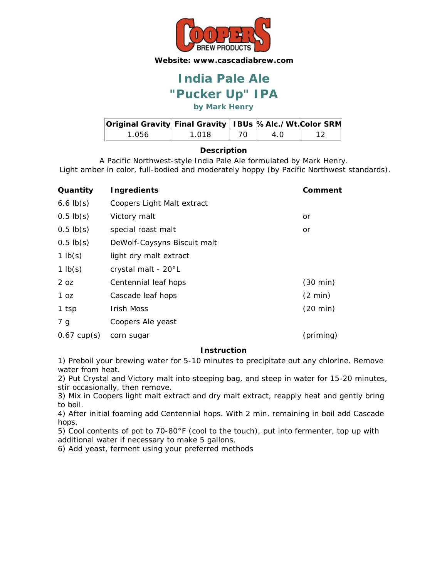

## **"Pucker Up" IPA India Pale Ale**

**by Mark Henry**

| Original Gravity Final Gravity   IBUs %Alc./Wt. Color SRM |       |     |  |
|-----------------------------------------------------------|-------|-----|--|
| 1.056                                                     | 1 018 | 4 N |  |

### **Description**

A Pacific Northwest-style India Pale Ale formulated by Mark Henry. Light amber in color, full-bodied and moderately hoppy (by Pacific Northwest standards).

| Quantity              | <b>Ingredients</b>          | Comment            |
|-----------------------|-----------------------------|--------------------|
| $6.6$ lb(s)           | Coopers Light Malt extract  |                    |
| $0.5$ lb $(s)$        | Victory malt                | or                 |
| $0.5$ lb $(s)$        | special roast malt          | or                 |
| $0.5$ lb $(s)$        | DeWolf-Coysyns Biscuit malt |                    |
| 1 $lb(s)$             | light dry malt extract      |                    |
| 1 $lb(s)$             | crystal malt - 20°L         |                    |
| 2 <sub>oz</sub>       | Centennial leaf hops        | $(30 \text{ min})$ |
| 1 oz                  | Cascade leaf hops           | $(2 \text{ min})$  |
| 1 tsp                 | <b>Irish Moss</b>           | $(20 \text{ min})$ |
| 7 <sub>g</sub>        | Coopers Ale yeast           |                    |
| $0.67 \text{ cup(s)}$ | corn sugar                  | (priming)          |

### **Instruction**

1) Preboil your brewing water for 5-10 minutes to precipitate out any chlorine. Remove water from heat.

2) Put Crystal and Victory malt into steeping bag, and steep in water for 15-20 minutes, stir occasionally, then remove.

3) Mix in Coopers light malt extract and dry malt extract, reapply heat and gently bring to boil.

4) After initial foaming add Centennial hops. With 2 min. remaining in boil add Cascade hops.

5) Cool contents of pot to 70-80°F (cool to the touch), put into fermenter, top up with additional water if necessary to make 5 gallons.

6) Add yeast, ferment using your preferred methods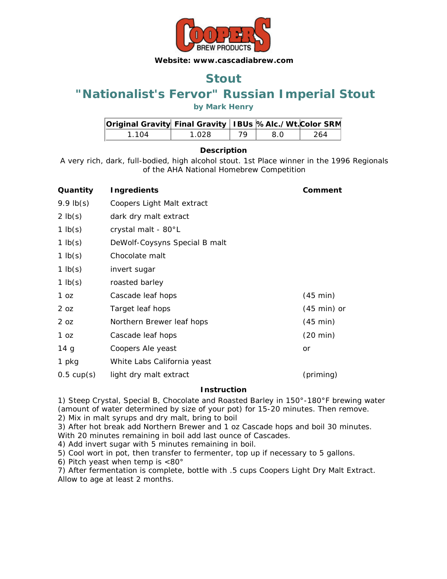

### **Stout**

### **"Nationalist's Fervor" Russian Imperial Stout**

### **by Mark Henry**

| Original Gravity Final Gravity   IBUs %Alc./Wt. Color SRM |       |    |     |      |
|-----------------------------------------------------------|-------|----|-----|------|
| 1 1 0 4                                                   | 1.028 | 79 | 8 O | -264 |

### **Description**

A very rich, dark, full-bodied, high alcohol stout. 1st Place winner in the 1996 Regionals of the AHA National Homebrew Competition

| Quantity             | <b>Ingredients</b>            | Comment               |
|----------------------|-------------------------------|-----------------------|
| $9.9$ lb(s)          | Coopers Light Malt extract    |                       |
| $2 \mathsf{lb}(s)$   | dark dry malt extract         |                       |
| 1 $lb(s)$            | crystal malt - 80°L           |                       |
| 1 $lb(s)$            | DeWolf-Coysyns Special B malt |                       |
| 1 $lb(s)$            | Chocolate malt                |                       |
| 1 $lb(s)$            | invert sugar                  |                       |
| 1 $lb(s)$            | roasted barley                |                       |
| 1 oz                 | Cascade leaf hops             | $(45 \text{ min})$    |
| 2 oz                 | Target leaf hops              | $(45 \text{ min})$ or |
| 2 oz                 | Northern Brewer leaf hops     | $(45 \text{ min})$    |
| 1 oz                 | Cascade leaf hops             | $(20 \text{ min})$    |
| 14 <sub>g</sub>      | Coopers Ale yeast             | or                    |
| 1 pkg                | White Labs California yeast   |                       |
| $0.5 \text{ cup(s)}$ | light dry malt extract        | (priming)             |

### **Instruction**

1) Steep Crystal, Special B, Chocolate and Roasted Barley in 150°-180°F brewing water (amount of water determined by size of your pot) for 15-20 minutes. Then remove. 2) Mix in malt syrups and dry malt, bring to boil

3) After hot break add Northern Brewer and 1 oz Cascade hops and boil 30 minutes. With 20 minutes remaining in boil add last ounce of Cascades.

4) Add invert sugar with 5 minutes remaining in boil.

5) Cool wort in pot, then transfer to fermenter, top up if necessary to 5 gallons.

6) Pitch yeast when temp is <80°

7) After fermentation is complete, bottle with .5 cups Coopers Light Dry Malt Extract. Allow to age at least 2 months.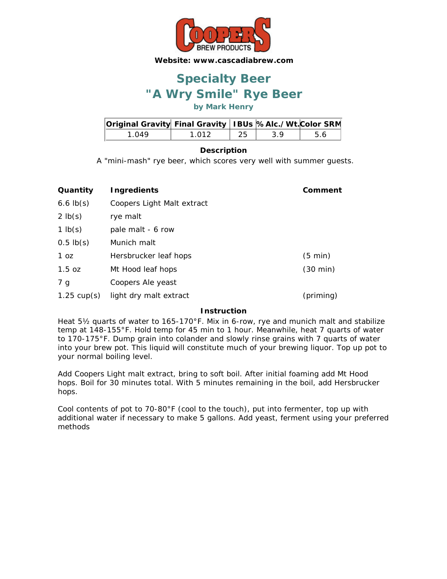

## **"A Wry Smile" Rye Beer Specialty Beer**

**by Mark Henry**

| Original Gravity Final Gravity   IBUs  %Alc./Wt. Color SRM |       |    |    |     |
|------------------------------------------------------------|-------|----|----|-----|
| 1 N 49                                                     | 1 012 | 25 | 39 | .56 |

### **Description**

A "mini-mash" rye beer, which scores very well with summer guests.

| Quantity              | <b>Ingredients</b>         | Comment            |
|-----------------------|----------------------------|--------------------|
| $6.6$ lb $(s)$        | Coopers Light Malt extract |                    |
| $2$ lb(s)             | rye malt                   |                    |
| 1 $lb(s)$             | pale malt - 6 row          |                    |
| $0.5$ lb(s)           | Munich malt                |                    |
| 1 oz                  | Hersbrucker leaf hops      | $(5 \text{ min})$  |
| $1.5$ oz              | Mt Hood leaf hops          | $(30 \text{ min})$ |
| 7 g                   | Coopers Ale yeast          |                    |
| $1.25 \text{ cup(s)}$ | light dry malt extract     | (priming)          |

#### **Instruction**

Heat 5½ quarts of water to 165-170°F. Mix in 6-row, rye and munich malt and stabilize temp at 148-155°F. Hold temp for 45 min to 1 hour. Meanwhile, heat 7 quarts of water to 170-175°F. Dump grain into colander and slowly rinse grains with 7 quarts of water into your brew pot. This liquid will constitute much of your brewing liquor. Top up pot to your normal boiling level.

Add Coopers Light malt extract, bring to soft boil. After initial foaming add Mt Hood hops. Boil for 30 minutes total. With 5 minutes remaining in the boil, add Hersbrucker hops.

Cool contents of pot to 70-80°F (cool to the touch), put into fermenter, top up with additional water if necessary to make 5 gallons. Add yeast, ferment using your preferred methods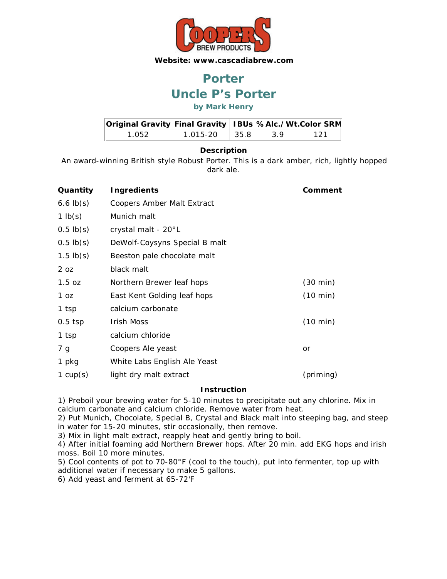

## **Uncle P's Porter Porter**

### **by Mark Henry**

| Original Gravity Final Gravity   IBUs  %Alc./Wt. Color SRM |          |      |    |     |
|------------------------------------------------------------|----------|------|----|-----|
| 1.052.                                                     | 1.015-20 | 35.8 | 39 | 121 |

### **Description**

An award-winning British style Robust Porter. This is a dark amber, rich, lightly hopped dark ale.

| Quantity           | <b>Ingredients</b>                | Comment            |
|--------------------|-----------------------------------|--------------------|
| 6.6 $lb(s)$        | <b>Coopers Amber Malt Extract</b> |                    |
| 1 $\mathsf{lb}(s)$ | Munich malt                       |                    |
| $0.5 \,$ lb(s)     | crystal malt - 20°L               |                    |
| $0.5$ lb(s)        | DeWolf-Coysyns Special B malt     |                    |
| 1.5 $lb(s)$        | Beeston pale chocolate malt       |                    |
| 2 oz               | black malt                        |                    |
| 1.5 oz             | Northern Brewer leaf hops         | $(30 \text{ min})$ |
| 1 oz               | East Kent Golding leaf hops       | $(10 \text{ min})$ |
| 1 tsp              | calcium carbonate                 |                    |
| $0.5$ tsp          | Irish Moss                        | $(10 \text{ min})$ |
| 1 tsp              | calcium chloride                  |                    |
| 7 g                | Coopers Ale yeast                 | or                 |
| 1 pkg              | White Labs English Ale Yeast      |                    |
| 1 $cup(s)$         | light dry malt extract            | (priming)          |

### **Instruction**

1) Preboil your brewing water for 5-10 minutes to precipitate out any chlorine. Mix in calcium carbonate and calcium chloride. Remove water from heat.

2) Put Munich, Chocolate, Special B, Crystal and Black malt into steeping bag, and steep in water for 15-20 minutes, stir occasionally, then remove.

3) Mix in light malt extract, reapply heat and gently bring to boil.

4) After initial foaming add Northern Brewer hops. After 20 min. add EKG hops and irish moss. Boil 10 more minutes.

5) Cool contents of pot to 70-80°F (cool to the touch), put into fermenter, top up with additional water if necessary to make 5 gallons.

6) Add yeast and ferment at 65-72'F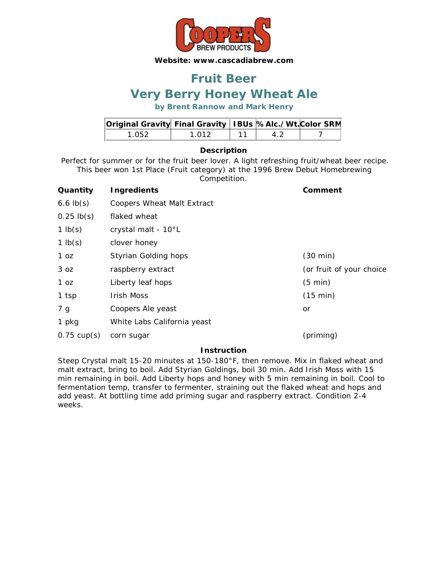

### **Very Berry Honey Wheat Ale Fruit Beer**

**by Brent Rannow and Mark Henry**

| Original Gravity Final Gravity   IBUs  %Alc./Wt. Color SRM |       |  |  |
|------------------------------------------------------------|-------|--|--|
| 1 052.                                                     | 1 ∩12 |  |  |

### **Description**

Perfect for summer or for the fruit beer lover. A light refreshing fruit/wheat beer recipe. This beer won 1st Place (Fruit category) at the 1996 Brew Debut Homebrewing

Competition.

| Quantity              | <b>Ingredients</b>                | Comment                  |
|-----------------------|-----------------------------------|--------------------------|
| $6.6$ $lb(s)$         | <b>Coopers Wheat Malt Extract</b> |                          |
| $0.25$ lb(s)          | flaked wheat                      |                          |
| 1 $lb(s)$             | crystal malt - 10°L               |                          |
| $1$ lb(s)             | clover honey                      |                          |
| 1 oz                  | <b>Styrian Golding hops</b>       | $(30 \text{ min})$       |
| 3 oz                  | raspberry extract                 | (or fruit of your choice |
| 1 oz                  | Liberty leaf hops                 | $(5 \text{ min})$        |
| 1 tsp                 | <b>Irish Moss</b>                 | (15 min)                 |
| 7 g                   | Coopers Ale yeast                 | or                       |
| 1 pkg                 | White Labs California yeast       |                          |
| $0.75 \text{ cup(s)}$ | corn sugar                        | (priming)                |

### **Instruction**

Steep Crystal malt 15-20 minutes at 150-180°F, then remove. Mix in flaked wheat and malt extract, bring to boil. Add Styrian Goldings, boil 30 min. Add Irish Moss with 15 min remaining in boil. Add Liberty hops and honey with 5 min remaining in boil. Cool to fermentation temp, transfer to fermenter, straining out the flaked wheat and hops and add yeast. At bottling time add priming sugar and raspberry extract. Condition 2-4 weeks.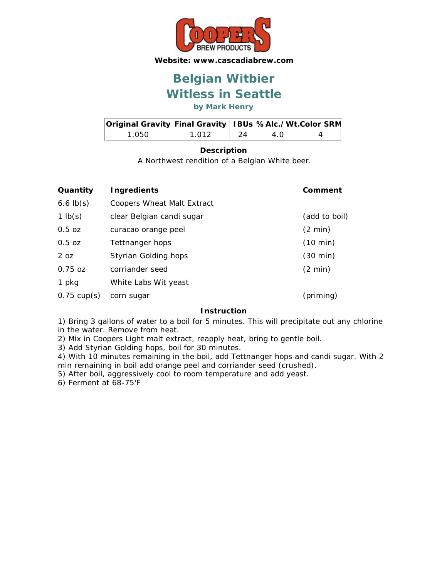

## **Witless in Seattle Belgian Witbier**

**by Mark Henry**

| Original Gravity Final Gravity   IBUs  %Alc./Wt. Color SRM |       |      |     |  |
|------------------------------------------------------------|-------|------|-----|--|
| 1 050                                                      | 1 012 | - 24 | 4 O |  |

### **Description**

A Northwest rendition of a Belgian White beer.

| Quantity              | Ingredients                       | Comment            |
|-----------------------|-----------------------------------|--------------------|
| $6.6$ $lb(s)$         | <b>Coopers Wheat Malt Extract</b> |                    |
| 1 $lb(s)$             | clear Belgian candi sugar         | (add to boil)      |
| 0.5 oz                | curacao orange peel               | $(2 \text{ min})$  |
| 0.5 oz                | Tettnanger hops                   | $(10 \text{ min})$ |
| 2 <sub>oz</sub>       | Styrian Golding hops              | $(30 \text{ min})$ |
| $0.75 \text{ oz}$     | corriander seed                   | $(2 \text{ min})$  |
| 1 pkg                 | White Labs Wit yeast              |                    |
| $0.75 \text{ cup(s)}$ | corn sugar                        | (priming)          |

#### **Instruction**

1) Bring 3 gallons of water to a boil for 5 minutes. This will precipitate out any chlorine in the water. Remove from heat.

2) Mix in Coopers Light malt extract, reapply heat, bring to gentle boil.

3) Add Styrian Golding hops, boil for 30 minutes.

4) With 10 minutes remaining in the boil, add Tettnanger hops and candi sugar. With 2 min remaining in boil add orange peel and corriander seed (crushed).

5) After boil, aggressively cool to room temperature and add yeast.

6) Ferment at 68-75'F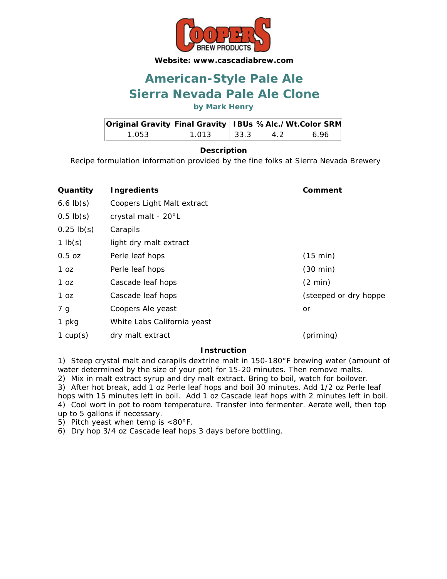

## **Sierra Nevada Pale Ale Clone American-Style Pale Ale**

**by Mark Henry**

| Original Gravity Final Gravity   IBUs %Alc./Wt. Color SRM |       |                      |    |     |
|-----------------------------------------------------------|-------|----------------------|----|-----|
| 1.053                                                     | 1.013 | $\vert$ 33.3 $\vert$ | 42 | 696 |

### **Description**

Recipe formulation information provided by the fine folks at Sierra Nevada Brewery

| Quantity       | <b>Ingredients</b>          | Comment                |
|----------------|-----------------------------|------------------------|
| $6.6$ lb(s)    | Coopers Light Malt extract  |                        |
| $0.5$ lb $(s)$ | crystal malt - 20°L         |                        |
| $0.25$ lb(s)   | Carapils                    |                        |
| $1$ lb(s)      | light dry malt extract      |                        |
| $0.5$ oz       | Perle leaf hops             | (15 min)               |
| 1 oz           | Perle leaf hops             | $(30 \text{ min})$     |
| 1 oz           | Cascade leaf hops           | $(2 \text{ min})$      |
| 1 oz           | Cascade leaf hops           | (steeped or dry hoppe) |
| 7 g            | Coopers Ale yeast           | or                     |
| 1 pkg          | White Labs California yeast |                        |
| 1 $cup(s)$     | dry malt extract            | (priming)              |

### **Instruction**

1) Steep crystal malt and carapils dextrine malt in 150-180°F brewing water (amount of water determined by the size of your pot) for 15-20 minutes. Then remove malts. 2) Mix in malt extract syrup and dry malt extract. Bring to boil, watch for boilover.

3) After hot break, add 1 oz Perle leaf hops and boil 30 minutes. Add 1/2 oz Perle leaf hops with 15 minutes left in boil. Add 1 oz Cascade leaf hops with 2 minutes left in boil. 4) Cool wort in pot to room temperature. Transfer into fermenter. Aerate well, then top up to 5 gallons if necessary.

5) Pitch yeast when temp is <80°F.

6) Dry hop 3/4 oz Cascade leaf hops 3 days before bottling.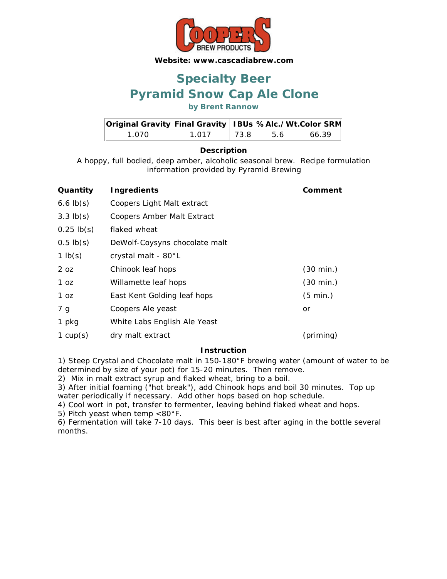

## **Pyramid Snow Cap Ale Clone Specialty Beer**

**by Brent Rannow**

| Original Gravity Final Gravity   IBUs %Alc./Wt. Color SRM |       |         |     |       |
|-----------------------------------------------------------|-------|---------|-----|-------|
| 1 070.                                                    | 1 017 | $-73.8$ | 5.6 | 66.39 |

### **Description**

A hoppy, full bodied, deep amber, alcoholic seasonal brew. Recipe formulation information provided by Pyramid Brewing

| Quantity        | <b>Ingredients</b>            | Comment             |
|-----------------|-------------------------------|---------------------|
| $6.6$ lb(s)     | Coopers Light Malt extract    |                     |
| $3.3$ lb(s)     | Coopers Amber Malt Extract    |                     |
| $0.25$ lb(s)    | flaked wheat                  |                     |
| $0.5$ lb(s)     | DeWolf-Coysyns chocolate malt |                     |
| 1 $lb(s)$       | crystal malt - 80°L           |                     |
| 2 <sub>oz</sub> | Chinook leaf hops             | $(30 \text{ min.})$ |
| 1 oz            | Willamette leaf hops          | $(30 \text{ min.})$ |
| 1 oz            | East Kent Golding leaf hops   | $(5 \text{ min.})$  |
| 7 g             | Coopers Ale yeast             | or                  |
| 1 pkg           | White Labs English Ale Yeast  |                     |
| 1 $cup(s)$      | dry malt extract              | (priming)           |

#### **Instruction**

1) Steep Crystal and Chocolate malt in 150-180°F brewing water (amount of water to be determined by size of your pot) for 15-20 minutes. Then remove.

2) Mix in malt extract syrup and flaked wheat, bring to a boil.

3) After initial foaming ("hot break"), add Chinook hops and boil 30 minutes. Top up water periodically if necessary. Add other hops based on hop schedule.

4) Cool wort in pot, transfer to fermenter, leaving behind flaked wheat and hops.

5) Pitch yeast when temp <80°F.

6) Fermentation will take 7-10 days. This beer is best after aging in the bottle several months.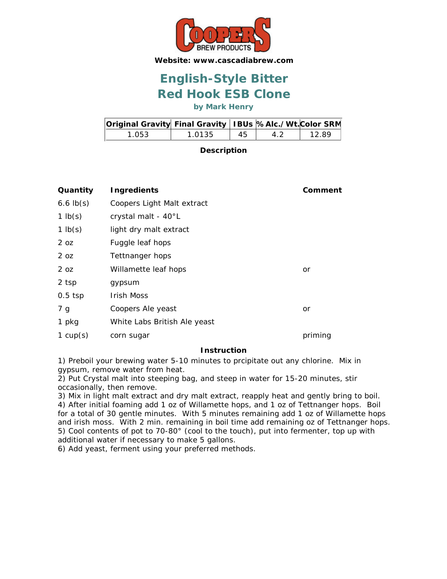

## **Red Hook ESB Clone English-Style Bitter**

**by Mark Henry**

| Original Gravity Final Gravity   IBUs  %Alc./Wt. Color SRM |        |     |    |       |
|------------------------------------------------------------|--------|-----|----|-------|
| 1.053.                                                     | 1.0135 | -45 | 42 | 12.89 |

**Description**

| Quantity        | <b>Ingredients</b>           | Comment |
|-----------------|------------------------------|---------|
| $6.6$ $lb(s)$   | Coopers Light Malt extract   |         |
| 1 $lb(s)$       | crystal malt - 40°L          |         |
| 1 $lb(s)$       | light dry malt extract       |         |
| 2 <sub>oz</sub> | Fuggle leaf hops             |         |
| 2 <sub>oz</sub> | Tettnanger hops              |         |
| 2 <sub>oz</sub> | Willamette leaf hops         | or      |
| 2 tsp           | gypsum                       |         |
| $0.5$ tsp       | <b>Irish Moss</b>            |         |
| 7 g             | Coopers Ale yeast            | or      |
| 1 pkg           | White Labs British Ale yeast |         |
| 1 $cup(s)$      | corn sugar                   | priming |

### **Instruction**

1) Preboil your brewing water 5-10 minutes to prcipitate out any chlorine. Mix in gypsum, remove water from heat.

2) Put Crystal malt into steeping bag, and steep in water for 15-20 minutes, stir occasionally, then remove.

3) Mix in light malt extract and dry malt extract, reapply heat and gently bring to boil. 4) After initial foaming add 1 oz of Willamette hops, and 1 oz of Tettnanger hops. Boil for a total of 30 gentle minutes. With 5 minutes remaining add 1 oz of Willamette hops and irish moss. With 2 min. remaining in boil time add remaining oz of Tettnanger hops. 5) Cool contents of pot to 70-80° (cool to the touch), put into fermenter, top up with additional water if necessary to make 5 gallons.

6) Add yeast, ferment using your preferred methods.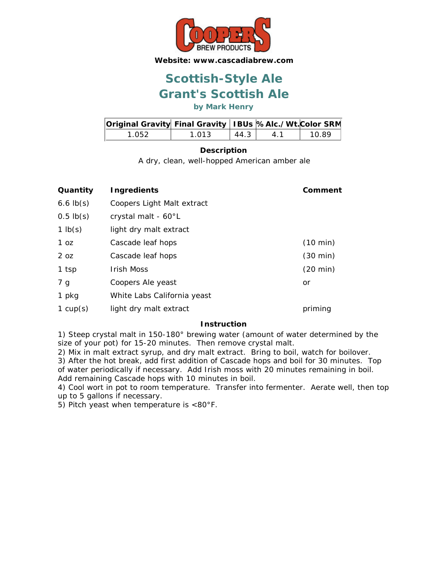

## **Grant's Scottish Ale Scottish-Style Ale**

**by Mark Henry**

| Original Gravity Final Gravity   IBUs  %Alc./Wt. Color SRM |       |      |    |       |
|------------------------------------------------------------|-------|------|----|-------|
| 1.052.                                                     | 1.013 | 44.3 | 41 | 10.89 |

### **Description**

A dry, clean, well-hopped American amber ale

| Quantity        | Ingredients                 | Comment            |
|-----------------|-----------------------------|--------------------|
| $6.6$ $lb(s)$   | Coopers Light Malt extract  |                    |
| $0.5$ lb $(s)$  | crystal malt - 60°L         |                    |
| 1 $lb(s)$       | light dry malt extract      |                    |
| 1 <sub>oz</sub> | Cascade leaf hops           | $(10 \text{ min})$ |
| 2 <sub>oz</sub> | Cascade leaf hops           | $(30 \text{ min})$ |
| 1 tsp           | <b>Irish Moss</b>           | $(20 \text{ min})$ |
| 7 g             | Coopers Ale yeast           | or                 |
| 1 pkg           | White Labs California yeast |                    |
| 1 $cup(s)$      | light dry malt extract      | priming            |

### **Instruction**

1) Steep crystal malt in 150-180° brewing water (amount of water determined by the size of your pot) for 15-20 minutes. Then remove crystal malt.

2) Mix in malt extract syrup, and dry malt extract. Bring to boil, watch for boilover. 3) After the hot break, add first addition of Cascade hops and boil for 30 minutes. Top of water periodically if necessary. Add Irish moss with 20 minutes remaining in boil. Add remaining Cascade hops with 10 minutes in boil.

4) Cool wort in pot to room temperature. Transfer into fermenter. Aerate well, then top up to 5 gallons if necessary.

5) Pitch yeast when temperature is <80°F.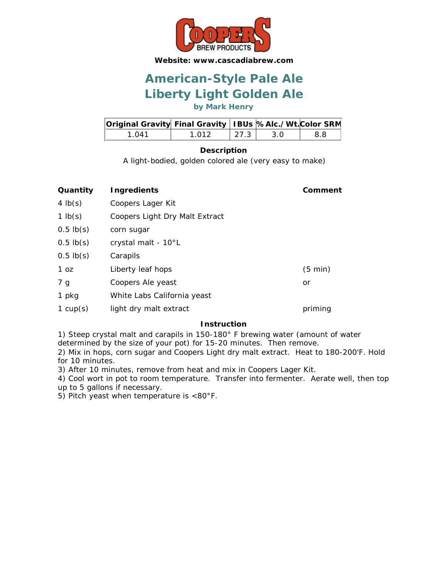

## **Liberty Light Golden Ale American-Style Pale Ale**

**by Mark Henry**

| Original Gravity Final Gravity   IBUs %Alc./Wt. Color SRM |       |                      |     |      |
|-----------------------------------------------------------|-------|----------------------|-----|------|
| 1 N41                                                     | 1.012 | $\vert$ 27.3 $\vert$ | 3 O | -8.8 |

### **Description**

A light-bodied, golden colored ale (very easy to make)

| Quantity       | Ingredients                    | Comment           |
|----------------|--------------------------------|-------------------|
| 4 $lb(s)$      | Coopers Lager Kit              |                   |
| 1 $lb(s)$      | Coopers Light Dry Malt Extract |                   |
| $0.5$ lb $(s)$ | corn sugar                     |                   |
| $0.5$ lb(s)    | crystal malt - 10°L            |                   |
| $0.5$ lb(s)    | Carapils                       |                   |
| 1 oz           | Liberty leaf hops              | $(5 \text{ min})$ |
| 7 g            | Coopers Ale yeast              | or                |
| 1 pkg          | White Labs California yeast    |                   |
| 1 $cup(s)$     | light dry malt extract         | priming           |

### **Instruction**

1) Steep crystal malt and carapils in 150-180° F brewing water (amount of water determined by the size of your pot) for 15-20 minutes. Then remove.

2) Mix in hops, corn sugar and Coopers Light dry malt extract. Heat to 180-200'F. Hold for 10 minutes.

3) After 10 minutes, remove from heat and mix in Coopers Lager Kit.

4) Cool wort in pot to room temperature. Transfer into fermenter. Aerate well, then top up to 5 gallons if necessary.

5) Pitch yeast when temperature is <80°F.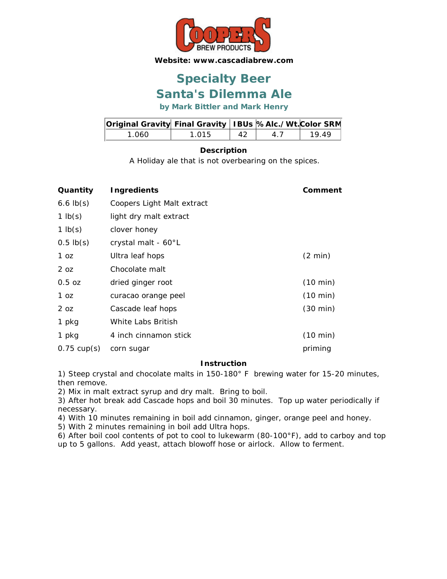

## **Santa's Dilemma Ale Specialty Beer**

**by Mark Bittler and Mark Henry**

| Original Gravity Final Gravity   IBUs  %Alc./Wt. Color SRM |       |     |    |      |
|------------------------------------------------------------|-------|-----|----|------|
| 1 060.                                                     | 1.015 | -42 | 41 | 1949 |

### **Description**

A Holiday ale that is not overbearing on the spices.

| Quantity              | <b>Ingredients</b>         | Comment            |
|-----------------------|----------------------------|--------------------|
| $6.6$ $lb(s)$         | Coopers Light Malt extract |                    |
| 1 $lb(s)$             | light dry malt extract     |                    |
| 1 $lb(s)$             | clover honey               |                    |
| $0.5$ lb(s)           | crystal malt - 60°L        |                    |
| 1 oz                  | Ultra leaf hops            | $(2 \text{ min})$  |
| 2 <sub>oz</sub>       | Chocolate malt             |                    |
| $0.5$ oz              | dried ginger root          | (10 min)           |
| 1 <sub>oz</sub>       | curacao orange peel        | (10 min)           |
| 2 <sub>oz</sub>       | Cascade leaf hops          | $(30 \text{ min})$ |
| 1 pkg                 | White Labs British         |                    |
| 1 pkg                 | 4 inch cinnamon stick      | (10 min)           |
| $0.75 \text{ cup(s)}$ | corn sugar                 | priming            |

### **Instruction**

1) Steep crystal and chocolate malts in 150-180° F brewing water for 15-20 minutes, then remove.

2) Mix in malt extract syrup and dry malt. Bring to boil.

3) After hot break add Cascade hops and boil 30 minutes. Top up water periodically if necessary.

4) With 10 minutes remaining in boil add cinnamon, ginger, orange peel and honey.

5) With 2 minutes remaining in boil add Ultra hops.

6) After boil cool contents of pot to cool to lukewarm (80-100°F), add to carboy and top up to 5 gallons. Add yeast, attach blowoff hose or airlock. Allow to ferment.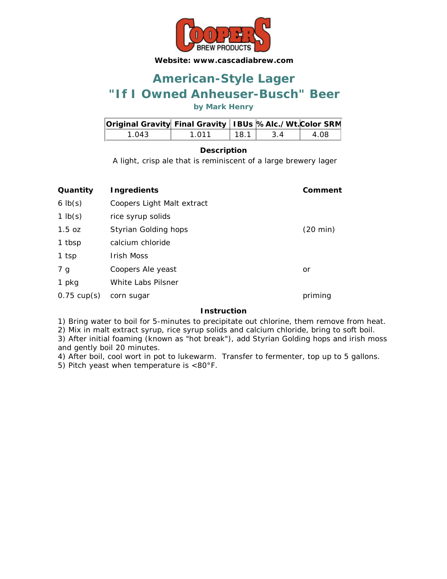

## **"If I Owned Anheuser-Busch" Beer American-Style Lager**

**by Mark Henry**

| Original Gravity Final Gravity   IBUs %Alc./Wt. Color SRM |       |      |     |      |
|-----------------------------------------------------------|-------|------|-----|------|
| 1 043                                                     | 1 011 | 18.1 | 3 A | 4.08 |

### **Description**

A light, crisp ale that is reminiscent of a large brewery lager

| Quantity              | <b>Ingredients</b>         | Comment            |
|-----------------------|----------------------------|--------------------|
| $6 \text{ lb}(s)$     | Coopers Light Malt extract |                    |
| 1 $lb(s)$             | rice syrup solids          |                    |
| 1.5 oz                | Styrian Golding hops       | $(20 \text{ min})$ |
| 1 tbsp                | calcium chloride           |                    |
| 1 tsp                 | Irish Moss                 |                    |
| 7 g                   | Coopers Ale yeast          | or                 |
| 1 pkg                 | White Labs Pilsner         |                    |
| $0.75 \text{ cup(s)}$ | corn sugar                 | priming            |
|                       |                            |                    |

#### **Instruction**

1) Bring water to boil for 5-minutes to precipitate out chlorine, them remove from heat.

2) Mix in malt extract syrup, rice syrup solids and calcium chloride, bring to soft boil.

3) After initial foaming (known as "hot break"), add Styrian Golding hops and irish moss and gently boil 20 minutes.

4) After boil, cool wort in pot to lukewarm. Transfer to fermenter, top up to 5 gallons.

5) Pitch yeast when temperature is <80°F.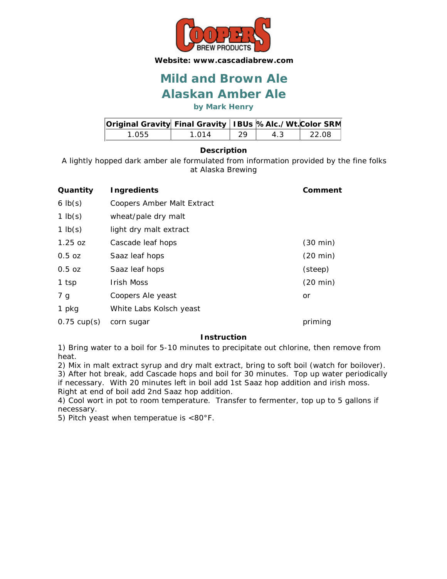

### **Alaskan Amber Ale Mild and Brown Ale**

**by Mark Henry**

| Original Gravity Final Gravity   IBUs  %Alc./Wt. Color SRM |       |     |    |        |
|------------------------------------------------------------|-------|-----|----|--------|
| 1.055                                                      | 1 014 | -29 | 43 | -22.08 |

### **Description**

A lightly hopped dark amber ale formulated from information provided by the fine folks at Alaska Brewing

| Quantity              | <b>Ingredients</b>         | Comment            |
|-----------------------|----------------------------|--------------------|
| $6 \text{ lb}(s)$     | Coopers Amber Malt Extract |                    |
| 1 $lb(s)$             | wheat/pale dry malt        |                    |
| 1 $lb(s)$             | light dry malt extract     |                    |
| $1.25$ oz             | Cascade leaf hops          | $(30 \text{ min})$ |
| $0.5$ oz              | Saaz leaf hops             | $(20 \text{ min})$ |
| $0.5$ oz              | Saaz leaf hops             | (steep)            |
| 1 tsp                 | <b>Irish Moss</b>          | $(20 \text{ min})$ |
| 7 g                   | Coopers Ale yeast          | or                 |
| 1 pkg                 | White Labs Kolsch yeast    |                    |
| $0.75 \text{ cup(s)}$ | corn sugar                 | priming            |

### **Instruction**

1) Bring water to a boil for 5-10 minutes to precipitate out chlorine, then remove from heat.

2) Mix in malt extract syrup and dry malt extract, bring to soft boil (watch for boilover). 3) After hot break, add Cascade hops and boil for 30 minutes. Top up water periodically

if necessary. With 20 minutes left in boil add 1st Saaz hop addition and irish moss. Right at end of boil add 2nd Saaz hop addition.

4) Cool wort in pot to room temperature. Transfer to fermenter, top up to 5 gallons if necessary.

5) Pitch yeast when temperatue is <80°F.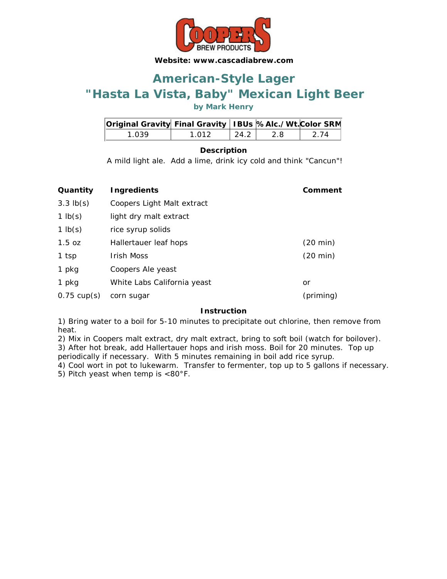

## **"Hasta La Vista, Baby" Mexican Light Beer American-Style Lager**

**by Mark Henry**

| Original Gravity Final Gravity   IBUs %Alc./Wt. Color SRM |       |                    |      |       |
|-----------------------------------------------------------|-------|--------------------|------|-------|
| 1 039                                                     | 1 012 | $\vert 24.2 \vert$ | -2.8 | -2 74 |

### **Description**

A mild light ale. Add a lime, drink icy cold and think "Cancun"!

| Quantity              | <b>Ingredients</b>          | Comment            |
|-----------------------|-----------------------------|--------------------|
| $3.3$ $lb(s)$         | Coopers Light Malt extract  |                    |
| 1 $lb(s)$             | light dry malt extract      |                    |
| 1 $lb(s)$             | rice syrup solids           |                    |
| 1.5 oz                | Hallertauer leaf hops       | (20 min)           |
| 1 tsp                 | <b>Irish Moss</b>           | $(20 \text{ min})$ |
| 1 pkg                 | Coopers Ale yeast           |                    |
| 1 pkg                 | White Labs California yeast | or                 |
| $0.75 \text{ cup(s)}$ | corn sugar                  | (priming)          |

### **Instruction**

1) Bring water to a boil for 5-10 minutes to precipitate out chlorine, then remove from heat.

2) Mix in Coopers malt extract, dry malt extract, bring to soft boil (watch for boilover). 3) After hot break, add Hallertauer hops and irish moss. Boil for 20 minutes. Top up periodically if necessary. With 5 minutes remaining in boil add rice syrup.

4) Cool wort in pot to lukewarm. Transfer to fermenter, top up to 5 gallons if necessary. 5) Pitch yeast when temp is <80°F.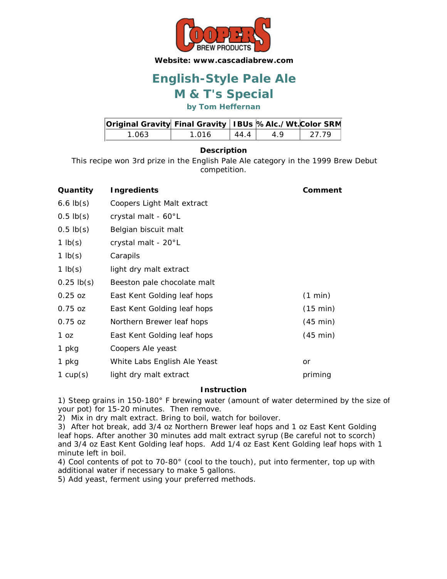

## **M & T's Special English-Style Pale Ale**

**by Tom Heffernan**

| Original Gravity Final Gravity   IBUs  %Alc./Wt. Color SRM |       |      |    |        |
|------------------------------------------------------------|-------|------|----|--------|
| 1.063                                                      | 1 016 | 4441 | 49 | -27.79 |

### **Description**

This recipe won 3rd prize in the English Pale Ale category in the 1999 Brew Debut competition.

| Quantity       | <b>Ingredients</b>           | Comment            |
|----------------|------------------------------|--------------------|
| $6.6$ $lb(s)$  | Coopers Light Malt extract   |                    |
| $0.5$ lb $(s)$ | crystal malt - 60°L          |                    |
| $0.5$ lb $(s)$ | Belgian biscuit malt         |                    |
| 1 $lb(s)$      | crystal malt - 20°L          |                    |
| 1 $lb(s)$      | Carapils                     |                    |
| 1 $lb(s)$      | light dry malt extract       |                    |
| $0.25$ lb(s)   | Beeston pale chocolate malt  |                    |
| $0.25$ oz      | East Kent Golding leaf hops  | (1 min)            |
| $0.75$ oz      | East Kent Golding leaf hops  | (15 min)           |
| $0.75$ oz      | Northern Brewer leaf hops    | (45 min)           |
| 1 oz           | East Kent Golding leaf hops  | $(45 \text{ min})$ |
| 1 pkg          | Coopers Ale yeast            |                    |
| 1 pkg          | White Labs English Ale Yeast | or                 |
| 1 $cup(s)$     | light dry malt extract       | priming            |

### **Instruction**

1) Steep grains in 150-180° F brewing water (amount of water determined by the size of your pot) for 15-20 minutes. Then remove.

2) Mix in dry malt extract. Bring to boil, watch for boilover.

3) After hot break, add 3/4 oz Northern Brewer leaf hops and 1 oz East Kent Golding leaf hops. After another 30 minutes add malt extract syrup (Be careful not to scorch) and 3/4 oz East Kent Golding leaf hops. Add 1/4 oz East Kent Golding leaf hops with 1 minute left in boil.

4) Cool contents of pot to 70-80° (cool to the touch), put into fermenter, top up with additional water if necessary to make 5 gallons.

5) Add yeast, ferment using your preferred methods.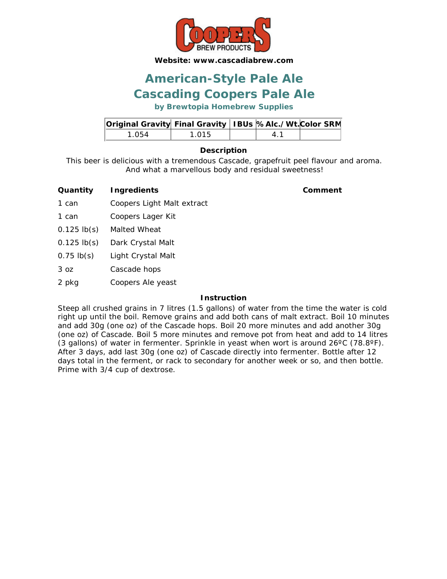

### **Cascading Coopers Pale Ale American-Style Pale Ale**

**by Brewtopia Homebrew Supplies**

| Original Gravity Final Gravity   IBUs %Alc./Wt. Color SRM |       |  |  |
|-----------------------------------------------------------|-------|--|--|
| 1.054                                                     | 1 015 |  |  |

### **Description**

This beer is delicious with a tremendous Cascade, grapefruit peel flavour and aroma. And what a marvellous body and residual sweetness!

| Quantity | <b>Ingredients</b> |
|----------|--------------------|
|          |                    |

**Quantity Ingredients Comment**

- 1 can Coopers Light Malt extract
- 1 can Coopers Lager Kit
- 0.125 lb(s) Malted Wheat
- 0.125 lb(s) Dark Crystal Malt
- 0.75 lb(s) Light Crystal Malt
- 3 oz Cascade hops
- 2 pkg Coopers Ale yeast

### **Instruction**

Steep all crushed grains in 7 litres (1.5 gallons) of water from the time the water is cold right up until the boil. Remove grains and add both cans of malt extract. Boil 10 minutes and add 30g (one oz) of the Cascade hops. Boil 20 more minutes and add another 30g (one oz) of Cascade. Boil 5 more minutes and remove pot from heat and add to 14 litres (3 gallons) of water in fermenter. Sprinkle in yeast when wort is around  $26^{\circ}$ C (78.8 $^{\circ}$ F). After 3 days, add last 30g (one oz) of Cascade directly into fermenter. Bottle after 12 days total in the ferment, or rack to secondary for another week or so, and then bottle. Prime with 3/4 cup of dextrose.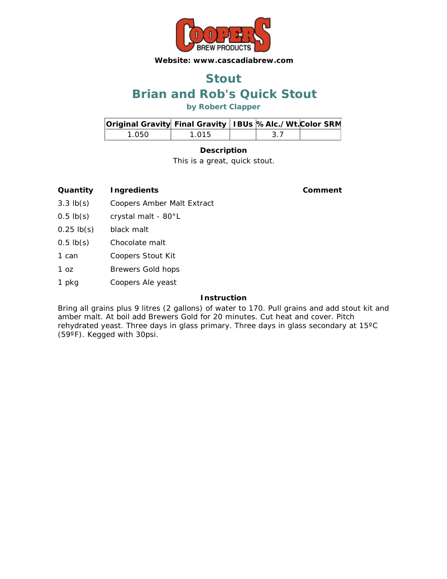

### **Brian and Rob's Quick Stout Stout**

**by Robert Clapper**

| Original Gravity Final Gravity   IBUs %Alc./Wt. Color SRM |       |      |  |
|-----------------------------------------------------------|-------|------|--|
| 1 050.                                                    | 1 015 | -3.7 |  |

### **Description**

This is a great, quick stout.

### **Quantity Ingredients Comment**

- 3.3 lb(s) Coopers Amber Malt Extract
- 0.5 lb(s) crystal malt 80°L
- 0.25 lb(s) black malt
- 0.5 lb(s) Chocolate malt
- 1 can Coopers Stout Kit
- 1 oz Brewers Gold hops
- 1 pkg Coopers Ale yeast

### **Instruction**

Bring all grains plus 9 litres (2 gallons) of water to 170. Pull grains and add stout kit and amber malt. At boil add Brewers Gold for 20 minutes. Cut heat and cover. Pitch rehydrated yeast. Three days in glass primary. Three days in glass secondary at 15ºC (59ºF). Kegged with 30psi.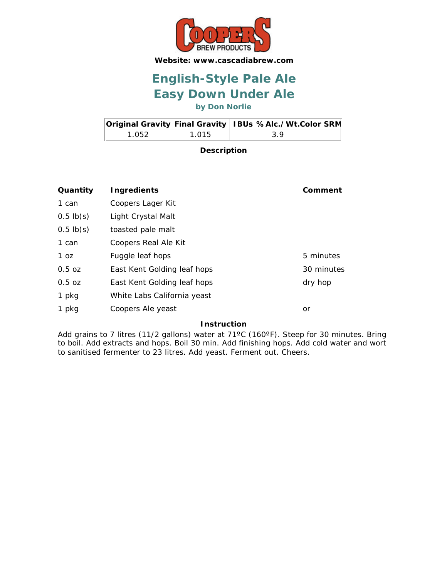

## **Easy Down Under Ale English-Style Pale Ale**

**by Don Norlie**

| Original Gravity Final Gravity   IBUs  %Alc./Wt. Color SRM |       |    |  |
|------------------------------------------------------------|-------|----|--|
| 1.052                                                      | 1 015 | 39 |  |

**Description**

| Quantity        | <b>Ingredients</b>          | Comment    |
|-----------------|-----------------------------|------------|
| 1 can           | Coopers Lager Kit           |            |
| $0.5$ lb $(s)$  | Light Crystal Malt          |            |
| $0.5$ lb $(s)$  | toasted pale malt           |            |
| 1 can           | Coopers Real Ale Kit        |            |
| 1 <sub>oz</sub> | Fuggle leaf hops            | 5 minutes  |
| 0.5 oz          | East Kent Golding leaf hops | 30 minutes |
| 0.5 oz          | East Kent Golding leaf hops | dry hop    |
| 1 pkg           | White Labs California yeast |            |
| 1 pkg           | Coopers Ale yeast           | or         |

### **Instruction**

Add grains to 7 litres (11/2 gallons) water at 71°C (160°F). Steep for 30 minutes. Bring to boil. Add extracts and hops. Boil 30 min. Add finishing hops. Add cold water and wort to sanitised fermenter to 23 litres. Add yeast. Ferment out. Cheers.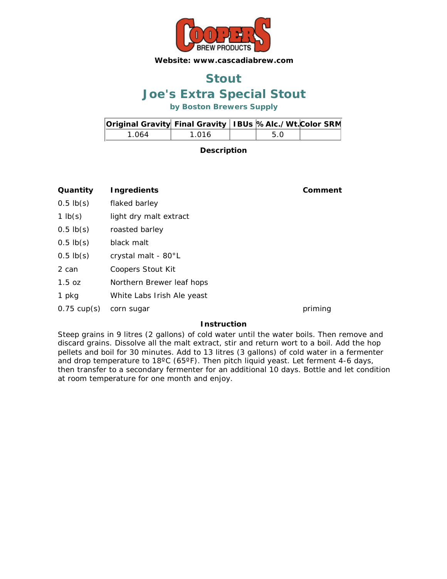

### **Joe's Extra Special Stout Stout**

**by Boston Brewers Supply**

| Original Gravity Final Gravity   IBUs  %Alc./Wt. Color SRM |       |      |  |
|------------------------------------------------------------|-------|------|--|
| 1 በ64                                                      | 1 016 | .5 O |  |

**Description**

**Quantity Ingredients Comment**

- 0.5 lb(s) flaked barley
- 1 lb(s) light dry malt extract
- 0.5 lb(s) roasted barley
- 0.5 lb(s) black malt
- 0.5 lb(s) crystal malt 80°L
- 2 can Coopers Stout Kit
- 1.5 oz Northern Brewer leaf hops
- 1 pkg White Labs Irish Ale yeast
- 0.75 cup(s) corn sugar priming

### **Instruction**

Steep grains in 9 litres (2 gallons) of cold water until the water boils. Then remove and discard grains. Dissolve all the malt extract, stir and return wort to a boil. Add the hop pellets and boil for 30 minutes. Add to 13 litres (3 gallons) of cold water in a fermenter and drop temperature to 18°C (65°F). Then pitch liquid yeast. Let ferment 4-6 days, then transfer to a secondary fermenter for an additional 10 days. Bottle and let condition at room temperature for one month and enjoy.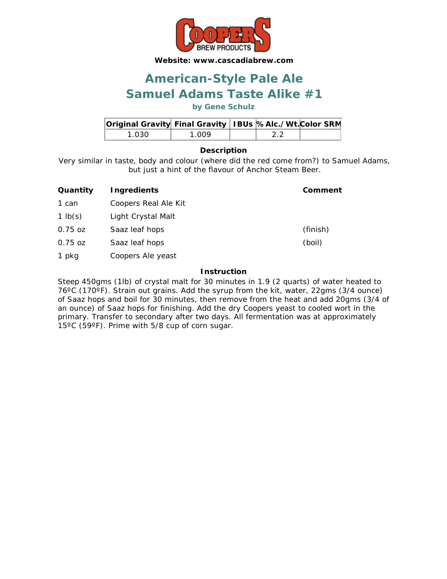

## **Samuel Adams Taste Alike #1 American-Style Pale Ale**

**by Gene Schulz**

| Original Gravity Final Gravity   IBUs  %Alc./Wt. Color SRM |       |  |  |
|------------------------------------------------------------|-------|--|--|
| 1 030 1                                                    | 1 NN9 |  |  |

### **Description**

Very similar in taste, body and colour (where did the red come from?) to Samuel Adams, but just a hint of the flavour of Anchor Steam Beer.

| Quantity  | <b>Ingredients</b>   | Comment  |
|-----------|----------------------|----------|
| 1 can     | Coopers Real Ale Kit |          |
| 1 $lb(s)$ | Light Crystal Malt   |          |
| $0.75$ oz | Saaz leaf hops       | (finish) |
| $0.75$ oz | Saaz leaf hops       | (boil)   |
| 1 pkg     | Coopers Ale yeast    |          |

### **Instruction**

Steep 450gms (1lb) of crystal malt for 30 minutes in 1.9 (2 quarts) of water heated to 76ºC (170ºF). Strain out grains. Add the syrup from the kit, water, 22gms (3/4 ounce) of Saaz hops and boil for 30 minutes, then remove from the heat and add 20gms (3/4 of an ounce) of Saaz hops for finishing. Add the dry Coopers yeast to cooled wort in the primary. Transfer to secondary after two days. All fermentation was at approximately 15ºC (59ºF). Prime with 5/8 cup of corn sugar.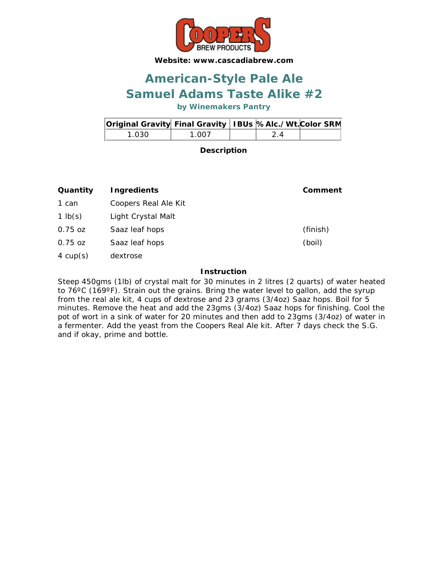

## **Samuel Adams Taste Alike #2 American-Style Pale Ale**

**by Winemakers Pantry**

| Original Gravity Final Gravity   IBUs %Alc./Wt. Color SRM |       |    |  |
|-----------------------------------------------------------|-------|----|--|
| 1 0.30 I                                                  | 1.007 | 24 |  |

**Description**

| Quantity   | <b>Ingredients</b>   | Comment  |
|------------|----------------------|----------|
| 1 can      | Coopers Real Ale Kit |          |
| 1 $lb(s)$  | Light Crystal Malt   |          |
| $0.75$ oz  | Saaz leaf hops       | (finish) |
| $0.75$ oz  | Saaz leaf hops       | (boil)   |
| 4 $cup(s)$ | dextrose             |          |

### **Instruction**

Steep 450gms (1lb) of crystal malt for 30 minutes in 2 litres (2 quarts) of water heated to 76°C (169°F). Strain out the grains. Bring the water level to gallon, add the syrup from the real ale kit, 4 cups of dextrose and 23 grams (3/4oz) Saaz hops. Boil for 5 minutes. Remove the heat and add the 23gms (3/4oz) Saaz hops for finishing. Cool the pot of wort in a sink of water for 20 minutes and then add to 23gms (3/4oz) of water in a fermenter. Add the yeast from the Coopers Real Ale kit. After 7 days check the S.G. and if okay, prime and bottle.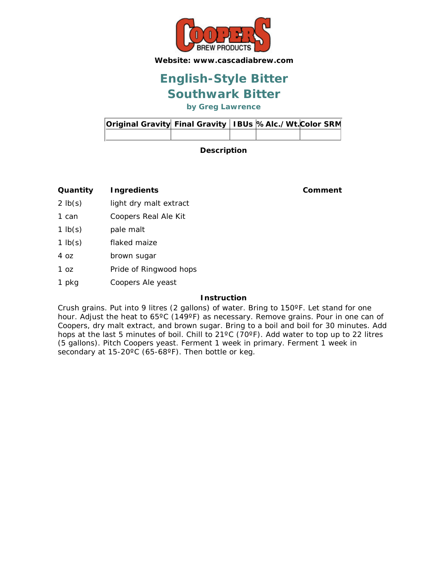

## **Southwark Bitter English-Style Bitter**

**by Greg Lawrence**

| Original Gravity Final Gravity   IBUs  %Alc./Wt. Color SRM |  |  |  |
|------------------------------------------------------------|--|--|--|
|                                                            |  |  |  |

**Description**

**Quantity Ingredients Comment**

- 2 lb(s) light dry malt extract
- 1 can Coopers Real Ale Kit
- 1 lb(s) pale malt
- 1 lb(s) flaked maize
- 4 oz brown sugar
- 1 oz Pride of Ringwood hops
- 1 pkg Coopers Ale yeast

### **Instruction**

Crush grains. Put into 9 litres (2 gallons) of water. Bring to 150ºF. Let stand for one hour. Adjust the heat to 65°C (149°F) as necessary. Remove grains. Pour in one can of Coopers, dry malt extract, and brown sugar. Bring to a boil and boil for 30 minutes. Add hops at the last 5 minutes of boil. Chill to 21ºC (70ºF). Add water to top up to 22 litres (5 gallons). Pitch Coopers yeast. Ferment 1 week in primary. Ferment 1 week in secondary at 15-20°C (65-68°F). Then bottle or keg.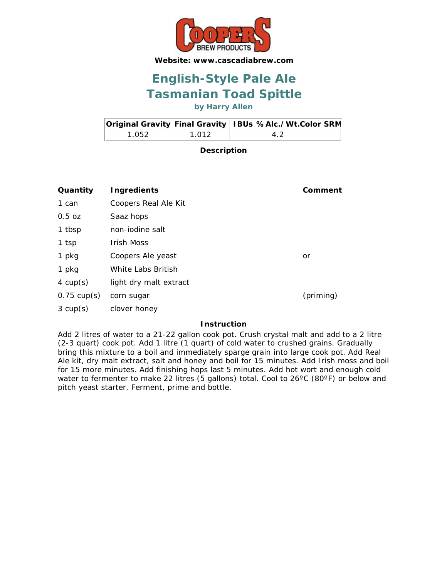

## **Tasmanian Toad Spittle English-Style Pale Ale**

**by Harry Allen**

| Original Gravity Final Gravity   IBUs %Alc./Wt. Color SRM |       |    |  |
|-----------------------------------------------------------|-------|----|--|
| 1 052                                                     | 1 012 | 42 |  |

**Description**

| Quantity              | <b>Ingredients</b>     | Comment   |
|-----------------------|------------------------|-----------|
| 1 can                 | Coopers Real Ale Kit   |           |
| $0.5$ oz              | Saaz hops              |           |
| 1 tbsp                | non-jodine salt        |           |
| 1 tsp                 | <b>Irish Moss</b>      |           |
| 1 pkg                 | Coopers Ale yeast      | or        |
| 1 pkg                 | White Labs British     |           |
| 4 $cup(s)$            | light dry malt extract |           |
| $0.75 \text{ cup(s)}$ | corn sugar             | (priming) |
| $3 \text{ cup}(s)$    | clover honey           |           |

### **Instruction**

Add 2 litres of water to a 21-22 gallon cook pot. Crush crystal malt and add to a 2 litre (2-3 quart) cook pot. Add 1 litre (1 quart) of cold water to crushed grains. Gradually bring this mixture to a boil and immediately sparge grain into large cook pot. Add Real Ale kit, dry malt extract, salt and honey and boil for 15 minutes. Add Irish moss and boil for 15 more minutes. Add finishing hops last 5 minutes. Add hot wort and enough cold water to fermenter to make 22 litres (5 gallons) total. Cool to 26°C (80°F) or below and pitch yeast starter. Ferment, prime and bottle.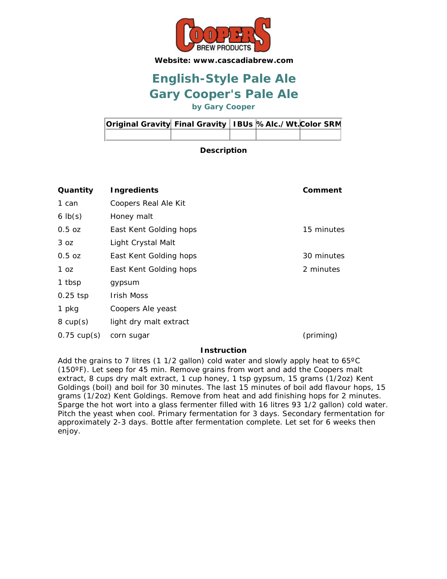

## **Gary Cooper's Pale Ale English-Style Pale Ale**

**by Gary Cooper**

| Original Gravity Final Gravity   IBUs %Alc./Wt. Color SRM |  |  |  |
|-----------------------------------------------------------|--|--|--|
|                                                           |  |  |  |

### **Description**

| Quantity              | <b>Ingredients</b>     | Comment    |
|-----------------------|------------------------|------------|
| 1 can                 | Coopers Real Ale Kit   |            |
| $6 \text{ lb}(s)$     | Honey malt             |            |
| $0.5$ oz              | East Kent Golding hops | 15 minutes |
| 3 oz                  | Light Crystal Malt     |            |
| $0.5$ oz              | East Kent Golding hops | 30 minutes |
| 1 oz                  | East Kent Golding hops | 2 minutes  |
| 1 tbsp                | gypsum                 |            |
| $0.25$ tsp            | <b>Irish Moss</b>      |            |
| 1 pkg                 | Coopers Ale yeast      |            |
| $8 \text{ cup}(s)$    | light dry malt extract |            |
| $0.75 \text{ cup(s)}$ | corn sugar             | (priming)  |

#### **Instruction**

Add the grains to 7 litres (1 1/2 gallon) cold water and slowly apply heat to 65ºC (150ºF). Let seep for 45 min. Remove grains from wort and add the Coopers malt extract, 8 cups dry malt extract, 1 cup honey, 1 tsp gypsum, 15 grams (1/2oz) Kent Goldings (boil) and boil for 30 minutes. The last 15 minutes of boil add flavour hops, 15 grams (1/2oz) Kent Goldings. Remove from heat and add finishing hops for 2 minutes. Sparge the hot wort into a glass fermenter filled with 16 litres 93 1/2 gallon) cold water. Pitch the yeast when cool. Primary fermentation for 3 days. Secondary fermentation for approximately 2-3 days. Bottle after fermentation complete. Let set for 6 weeks then enjoy.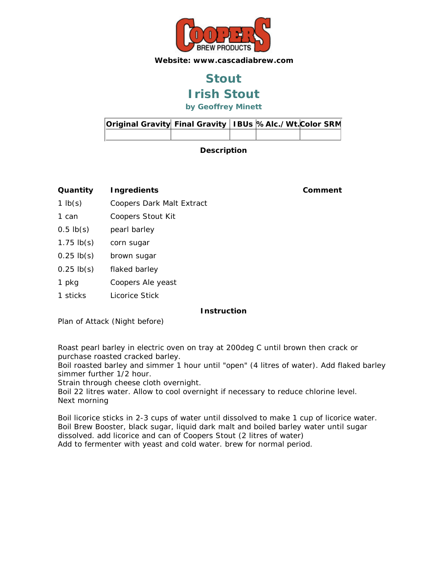

## **Irish Stout Stout**

**by Geoffrey Minett**

| Original Gravity Final Gravity   IBUs  %Alc./Wt. Color SRM |  |  |  |
|------------------------------------------------------------|--|--|--|
|                                                            |  |  |  |

**Description**

**Quantity Ingredients Comment**

- 1 lb(s) Coopers Dark Malt Extract
- 1 can Coopers Stout Kit
- 0.5 lb(s) pearl barley
- 1.75 lb(s) corn sugar
- 0.25 lb(s) brown sugar
- 0.25 lb(s) flaked barley
- 1 pkg Coopers Ale yeast
- 1 sticks Licorice Stick

### **Instruction**

Plan of Attack (Night before)

Roast pearl barley in electric oven on tray at 200deg C until brown then crack or purchase roasted cracked barley.

Boil roasted barley and simmer 1 hour until "open" (4 litres of water). Add flaked barley simmer further 1/2 hour.

Strain through cheese cloth overnight.

Boil 22 litres water. Allow to cool overnight if necessary to reduce chlorine level. Next morning

Boil licorice sticks in 2-3 cups of water until dissolved to make 1 cup of licorice water. Boil Brew Booster, black sugar, liquid dark malt and boiled barley water until sugar dissolved. add licorice and can of Coopers Stout (2 litres of water) Add to fermenter with yeast and cold water. brew for normal period.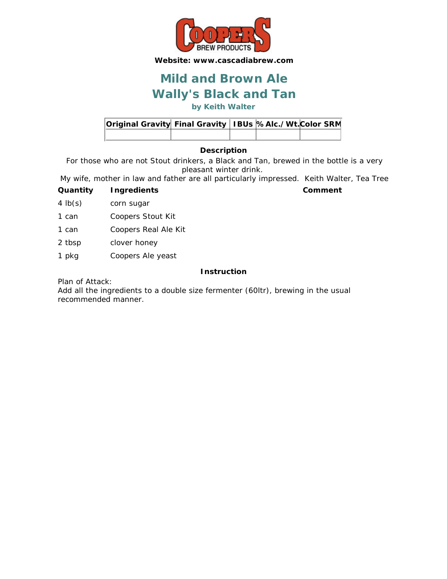

## **Wally's Black and Tan Mild and Brown Ale**

**by Keith Walter**

| Original Gravity Final Gravity   IBUs %Alc./Wt. Color SRM |  |  |  |
|-----------------------------------------------------------|--|--|--|
|                                                           |  |  |  |

### **Description**

For those who are not Stout drinkers, a Black and Tan, brewed in the bottle is a very pleasant winter drink.

My wife, mother in law and father are all particularly impressed. Keith Walter, Tea Tree

- **Quantity Ingredients Comment**
- 4 lb(s) corn sugar
- 1 can Coopers Stout Kit
- 1 can Coopers Real Ale Kit
- 2 tbsp clover honey
- 1 pkg Coopers Ale yeast

### **Instruction**

Plan of Attack:

Add all the ingredients to a double size fermenter (60ltr), brewing in the usual recommended manner.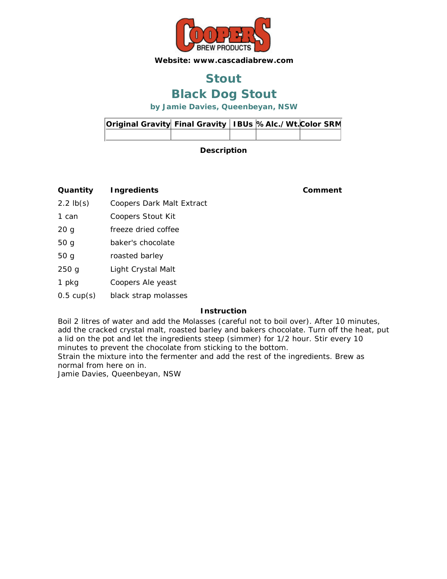

## **Stout**

### **Black Dog Stout**

**by Jamie Davies, Queenbeyan, NSW**

| Original Gravity Final Gravity   IBUs  %Alc./Wt. Color SRM |  |  |  |
|------------------------------------------------------------|--|--|--|
|                                                            |  |  |  |

### **Description**

**Quantity Ingredients Comment**

- 2.2 lb(s) Coopers Dark Malt Extract
- 1 can Coopers Stout Kit
- 20 g freeze dried coffee
- 50 g baker's chocolate
- 50 g roasted barley
- 250 g Light Crystal Malt
- 1 pkg Coopers Ale yeast
- 0.5 cup(s) black strap molasses

### **Instruction**

Boil 2 litres of water and add the Molasses (careful not to boil over). After 10 minutes, add the cracked crystal malt, roasted barley and bakers chocolate. Turn off the heat, put a lid on the pot and let the ingredients steep (simmer) for 1/2 hour. Stir every 10 minutes to prevent the chocolate from sticking to the bottom.

Strain the mixture into the fermenter and add the rest of the ingredients. Brew as normal from here on in.

Jamie Davies, Queenbeyan, NSW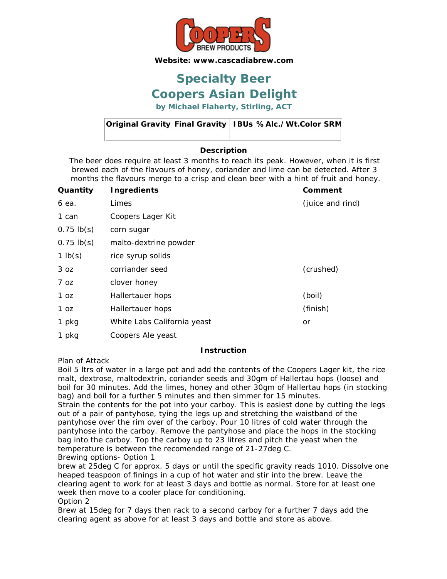

### **Coopers Asian Delight Specialty Beer**

**by Michael Flaherty, Stirling, ACT**

| Original Gravity Final Gravity   IBUs  %Alc./Wt. Color SRM |  |  |  |
|------------------------------------------------------------|--|--|--|
|                                                            |  |  |  |

### **Description**

The beer does require at least 3 months to reach its peak. However, when it is first brewed each of the flavours of honey, coriander and lime can be detected. After 3 months the flavours merge to a crisp and clean beer with a hint of fruit and honey.

| Quantity        | <b>Ingredients</b>          | Comment          |
|-----------------|-----------------------------|------------------|
| 6 ea.           | Limes                       | (juice and rind) |
| 1 can           | Coopers Lager Kit           |                  |
| $0.75 \, lb(s)$ | corn sugar                  |                  |
| $0.75$ lb(s)    | malto-dextrine powder       |                  |
| 1 $lb(s)$       | rice syrup solids           |                  |
| 3 oz            | corriander seed             | (crushed)        |
| 7 oz            | clover honey                |                  |
| 1 oz            | Hallertauer hops            | (boil)           |
| 1 oz            | Hallertauer hops            | (finish)         |
| 1 pkg           | White Labs California yeast | or               |
| 1 pkg           | Coopers Ale yeast           |                  |

#### **Instruction**

Plan of Attack

Boil 5 ltrs of water in a large pot and add the contents of the Coopers Lager kit, the rice malt, dextrose, maltodextrin, coriander seeds and 30gm of Hallertau hops (loose) and boil for 30 minutes. Add the limes, honey and other 30gm of Hallertau hops (in stocking bag) and boil for a further 5 minutes and then simmer for 15 minutes.

Strain the contents for the pot into your carboy. This is easiest done by cutting the legs out of a pair of pantyhose, tying the legs up and stretching the waistband of the pantyhose over the rim over of the carboy. Pour 10 litres of cold water through the pantyhose into the carboy. Remove the pantyhose and place the hops in the stocking bag into the carboy. Top the carboy up to 23 litres and pitch the yeast when the temperature is between the recomended range of 21-27deg C. Brewing options- Option 1

brew at 25deg C for approx. 5 days or until the specific gravity reads 1010. Dissolve one heaped teaspoon of finings in a cup of hot water and stir into the brew. Leave the clearing agent to work for at least 3 days and bottle as normal. Store for at least one week then move to a cooler place for conditioning.

Option 2

Brew at 15deg for 7 days then rack to a second carboy for a further 7 days add the clearing agent as above for at least 3 days and bottle and store as above.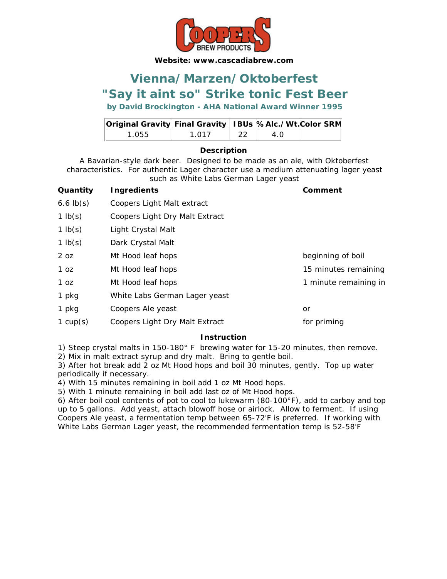

### **"Say it aint so" Strike tonic Fest Beer Vienna/Marzen/Oktoberfest**

### **by David Brockington - AHA National Award Winner 1995**

| Original Gravity Final Gravity   IBUs  %Alc./Wt. Color SRM |       |      |     |  |
|------------------------------------------------------------|-------|------|-----|--|
| 1.055                                                      | 1 017 | - 22 | 4 O |  |

### **Description**

A Bavarian-style dark beer. Designed to be made as an ale, with Oktoberfest characteristics. For authentic Lager character use a medium attenuating lager yeast such as White Labs German Lager yeast

| Quantity        | Ingredients                    | Comment               |
|-----------------|--------------------------------|-----------------------|
| $6.6$ $lb(s)$   | Coopers Light Malt extract     |                       |
| 1 $lb(s)$       | Coopers Light Dry Malt Extract |                       |
| $1$ lb(s)       | Light Crystal Malt             |                       |
| $1$ lb(s)       | Dark Crystal Malt              |                       |
| 2 <sub>oz</sub> | Mt Hood leaf hops              | beginning of boil     |
| 1 <sub>oz</sub> | Mt Hood leaf hops              | 15 minutes remaining  |
| 1 <sub>oz</sub> | Mt Hood leaf hops              | 1 minute remaining in |
| 1 pkg           | White Labs German Lager yeast  |                       |
| 1 pkg           | Coopers Ale yeast              | or                    |
| 1 $cup(s)$      | Coopers Light Dry Malt Extract | for priming           |

### **Instruction**

1) Steep crystal malts in 150-180° F brewing water for 15-20 minutes, then remove. 2) Mix in malt extract syrup and dry malt. Bring to gentle boil.

3) After hot break add 2 oz Mt Hood hops and boil 30 minutes, gently. Top up water periodically if necessary.

4) With 15 minutes remaining in boil add 1 oz Mt Hood hops.

5) With 1 minute remaining in boil add last oz of Mt Hood hops.

6) After boil cool contents of pot to cool to lukewarm (80-100°F), add to carboy and top up to 5 gallons. Add yeast, attach blowoff hose or airlock. Allow to ferment. If using Coopers Ale yeast, a fermentation temp between 65-72'F is preferred. If working with White Labs German Lager yeast, the recommended fermentation temp is 52-58'F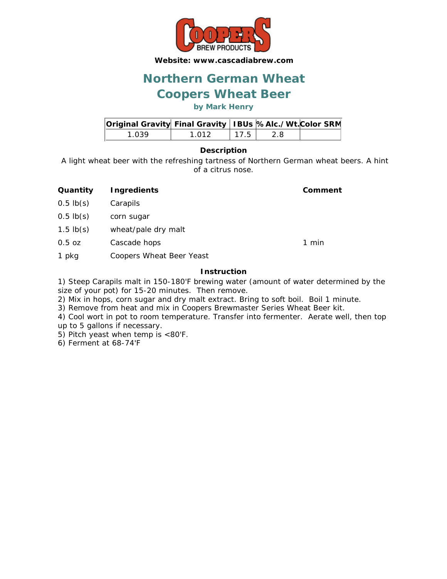

## **Northern German Wheat**

### **Coopers Wheat Beer**

**by Mark Henry**

| <b>Original Gravity Final Gravity   IBUs %Alc./Wt. Color SRM</b> |       |      |      |  |
|------------------------------------------------------------------|-------|------|------|--|
| 1 039                                                            | 1 012 | 17.5 | -2.8 |  |

### **Description**

A light wheat beer with the refreshing tartness of Northern German wheat beers. A hint of a citrus nose.

- **Quantity Ingredients Comment**
- 0.5 lb(s) Carapils
- 0.5 lb(s) corn sugar
- 1.5 lb(s) wheat/pale dry malt
- 0.5 oz Cascade hops 1 min
- 1 pkg Coopers Wheat Beer Yeast

### **Instruction**

1) Steep Carapils malt in 150-180'F brewing water (amount of water determined by the size of your pot) for 15-20 minutes. Then remove.

- 2) Mix in hops, corn sugar and dry malt extract. Bring to soft boil. Boil 1 minute.
- 3) Remove from heat and mix in Coopers Brewmaster Series Wheat Beer kit.
- 4) Cool wort in pot to room temperature. Transfer into fermenter. Aerate well, then top up to 5 gallons if necessary.
- 5) Pitch yeast when temp is <80'F.

6) Ferment at 68-74'F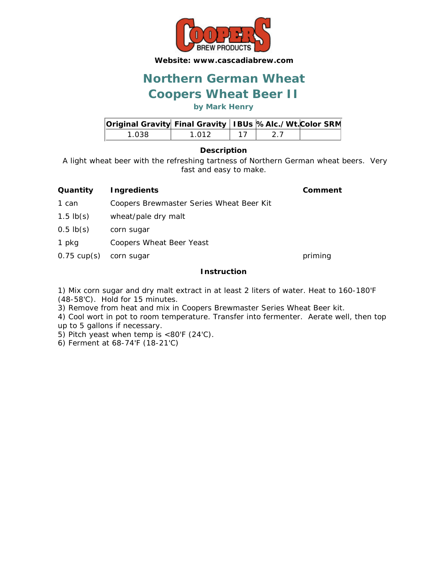

### **Coopers Wheat Beer II Northern German Wheat**

### **by Mark Henry**

| Original Gravity Final Gravity   IBUs %Alc./Wt. Color SRM |       |  |  |
|-----------------------------------------------------------|-------|--|--|
| 1 038.                                                    | 1 012 |  |  |

#### **Description**

A light wheat beer with the refreshing tartness of Northern German wheat beers. Very fast and easy to make.

### **Quantity Ingredients Comment**

- 1 can Coopers Brewmaster Series Wheat Beer Kit
- 1.5 lb(s) wheat/pale dry malt
- 0.5 lb(s) corn sugar
- 1 pkg Coopers Wheat Beer Yeast
- 0.75 cup(s) corn sugar priming

### **Instruction**

1) Mix corn sugar and dry malt extract in at least 2 liters of water. Heat to 160-180'F (48-58'C). Hold for 15 minutes.

3) Remove from heat and mix in Coopers Brewmaster Series Wheat Beer kit.

4) Cool wort in pot to room temperature. Transfer into fermenter. Aerate well, then top up to 5 gallons if necessary.

- 5) Pitch yeast when temp is <80'F (24'C).
- 6) Ferment at 68-74'F (18-21'C)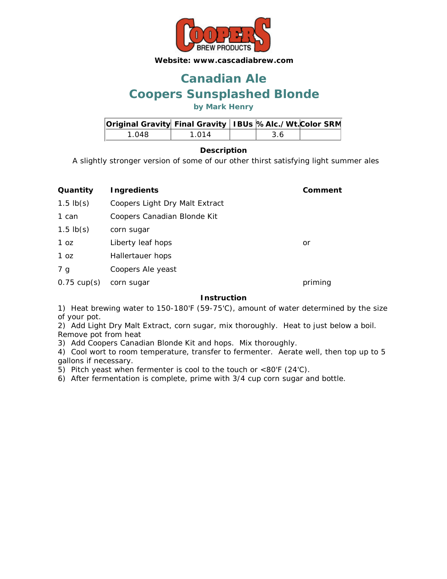

## **Coopers Sunsplashed Blonde Canadian Ale**

**by Mark Henry**

| Original Gravity Final Gravity   IBUs % Alc./Wt. Color SRM |       |  |  |
|------------------------------------------------------------|-------|--|--|
| 1 Q48                                                      | 1 014 |  |  |

### **Description**

A slightly stronger version of some of our other thirst satisfying light summer ales

| Quantity              | <b>Ingredients</b>             | Comment |
|-----------------------|--------------------------------|---------|
| $1.5$ lb(s)           | Coopers Light Dry Malt Extract |         |
| 1 can                 | Coopers Canadian Blonde Kit    |         |
| $1.5$ lb(s)           | corn sugar                     |         |
| 1 <sub>oz</sub>       | Liberty leaf hops              | or      |
| 1 <sub>oz</sub>       | Hallertauer hops               |         |
| 7 g                   | Coopers Ale yeast              |         |
| $0.75 \text{ cup(s)}$ | corn sugar                     | priming |

### **Instruction**

1) Heat brewing water to 150-180'F (59-75'C), amount of water determined by the size of your pot.

2) Add Light Dry Malt Extract, corn sugar, mix thoroughly. Heat to just below a boil. Remove pot from heat

3) Add Coopers Canadian Blonde Kit and hops. Mix thoroughly.

4) Cool wort to room temperature, transfer to fermenter. Aerate well, then top up to 5 gallons if necessary.

5) Pitch yeast when fermenter is cool to the touch or <80'F (24'C).

6) After fermentation is complete, prime with 3/4 cup corn sugar and bottle.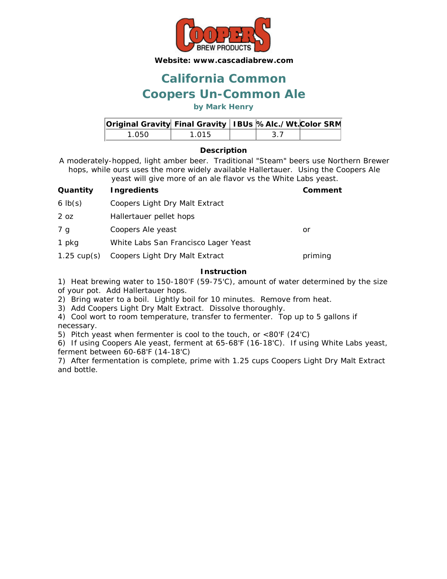

### **Coopers Un-Common Ale California Common**

### **by Mark Henry**

| Original Gravity Final Gravity   IBUs %Alc./Wt. Color SRM |       |     |  |
|-----------------------------------------------------------|-------|-----|--|
| 1 050.                                                    | 1 015 | -37 |  |

### **Description**

A moderately-hopped, light amber beer. Traditional "Steam" beers use Northern Brewer hops, while ours uses the more widely available Hallertauer. Using the Coopers Ale yeast will give more of an ale flavor vs the White Labs yeast.

| $10000$ . The state of the state fraction to the state case for $\sim$ |                                      |         |  |
|------------------------------------------------------------------------|--------------------------------------|---------|--|
| Quantity                                                               | <b>Ingredients</b>                   | Comment |  |
| $6 \text{ lb}(s)$                                                      | Coopers Light Dry Malt Extract       |         |  |
| 2 <sub>oz</sub>                                                        | Hallertauer pellet hops              |         |  |
| 7 g                                                                    | Coopers Ale yeast                    | or      |  |
| 1 pkg                                                                  | White Labs San Francisco Lager Yeast |         |  |
| $1.25 \text{ cup(s)}$                                                  | Coopers Light Dry Malt Extract       | priming |  |
| l netruction                                                           |                                      |         |  |

### **Instruction**

1) Heat brewing water to 150-180'F (59-75'C), amount of water determined by the size of your pot. Add Hallertauer hops.

2) Bring water to a boil. Lightly boil for 10 minutes. Remove from heat.

3) Add Coopers Light Dry Malt Extract. Dissolve thoroughly.

4) Cool wort to room temperature, transfer to fermenter. Top up to 5 gallons if necessary.

5) Pitch yeast when fermenter is cool to the touch, or <80'F (24'C)

6) If using Coopers Ale yeast, ferment at 65-68'F (16-18'C). If using White Labs yeast, ferment between 60-68'F (14-18'C)

7) After fermentation is complete, prime with 1.25 cups Coopers Light Dry Malt Extract and bottle.